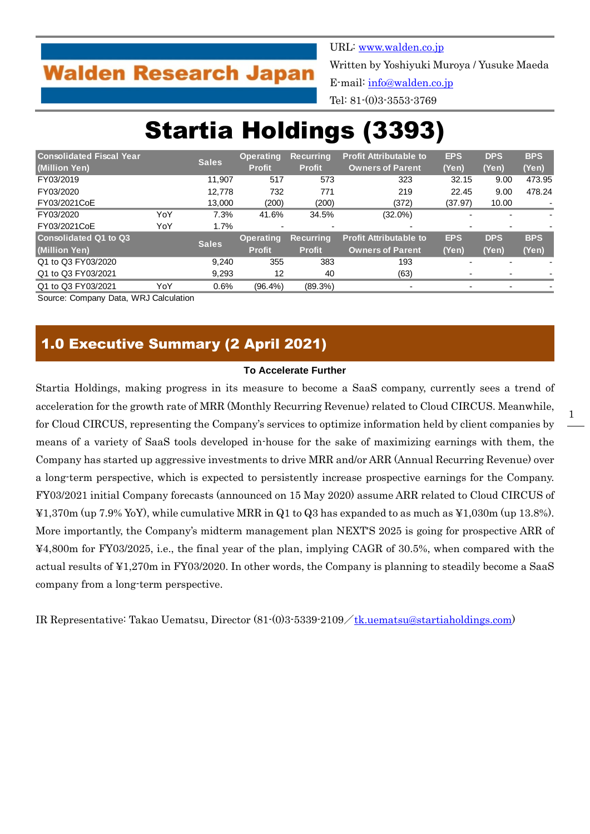## **Walden Research Japan**

URL: [www.walden.co.jp](http://www.walden.co.jp/) Written by Yoshiyuki Muroya / Yusuke Maeda E-mail: [info@walden.co.jp](mailto:info@walden.co.jp) Tel: 81-(0)3-3553-3769

# Startia Holdings (3393)

| <b>Consolidated Fiscal Year</b> |     | <b>Sales</b> | <b>Operating</b>         | <b>Recurring</b>         | <b>Profit Attributable to</b> | <b>EPS</b> | <b>DPS</b>               | <b>BPS</b>               |
|---------------------------------|-----|--------------|--------------------------|--------------------------|-------------------------------|------------|--------------------------|--------------------------|
| (Million Yen)                   |     |              | <b>Profit</b>            | <b>Profit</b>            | <b>Owners of Parent</b>       | (Yen)      | (Yen)                    | (Yen)                    |
| FY03/2019                       |     | 11.907       | 517                      | 573                      | 323                           | 32.15      | 9.00                     | 473.95                   |
| FY03/2020                       |     | 12.778       | 732                      | 771                      | 219                           | 22.45      | 9.00                     | 478.24                   |
| FY03/2021CoE                    |     | 13,000       | (200)                    | (200)                    | (372)                         | (37.97)    | 10.00                    |                          |
| FY03/2020                       | YoY | 7.3%         | 41.6%                    | 34.5%                    | $(32.0\%)$                    |            |                          | $\overline{\phantom{0}}$ |
| FY03/2021CoE                    | YoY | 1.7%         | $\overline{\phantom{0}}$ | $\overline{\phantom{a}}$ | $\overline{\phantom{0}}$      |            | $\overline{\phantom{0}}$ |                          |
| <b>Consolidated Q1 to Q3</b>    |     |              | <b>Operating</b>         | <b>Recurring</b>         | <b>Profit Attributable to</b> | <b>EPS</b> | <b>DPS</b>               | <b>BPS</b>               |
| (Million Yen)                   |     | <b>Sales</b> | <b>Profit</b>            | <b>Profit</b>            | <b>Owners of Parent</b>       | (Yen)      | (Yen)                    | (Yen)                    |
| Q1 to Q3 FY03/2020              |     | 9.240        | 355                      | 383                      | 193                           |            |                          |                          |
| Q1 to Q3 FY03/2021              |     | 9,293        | 12                       | 40                       | (63)                          |            |                          |                          |
| Q1 to Q3 FY03/2021              | YoY | 0.6%         | $(96.4\%)$               | $(89.3\%)$               | -                             |            | $\overline{\phantom{a}}$ |                          |

Source: Company Data, WRJ Calculation

## 1.0 Executive Summary (2 April 2021)

#### **To Accelerate Further**

Startia Holdings, making progress in its measure to become a SaaS company, currently sees a trend of acceleration for the growth rate of MRR (Monthly Recurring Revenue) related to Cloud CIRCUS. Meanwhile, for Cloud CIRCUS, representing the Company's services to optimize information held by client companies by means of a variety of SaaS tools developed in-house for the sake of maximizing earnings with them, the Company has started up aggressive investments to drive MRR and/or ARR (Annual Recurring Revenue) over a long-term perspective, which is expected to persistently increase prospective earnings for the Company. FY03/2021 initial Company forecasts (announced on 15 May 2020) assume ARR related to Cloud CIRCUS of ¥1,370m (up 7.9% YoY), while cumulative MRR in Q1 to Q3 has expanded to as much as ¥1,030m (up 13.8%). More importantly, the Company's midterm management plan NEXT'S 2025 is going for prospective ARR of ¥4,800m for FY03/2025, i.e., the final year of the plan, implying CAGR of 30.5%, when compared with the actual results of ¥1,270m in FY03/2020. In other words, the Company is planning to steadily become a SaaS company from a long-term perspective.

IR Representative: Takao Uematsu, Director  $(81)(0)3.5339.2109 \diagup \text{tk.}$ uematsu@startiaholdings.com)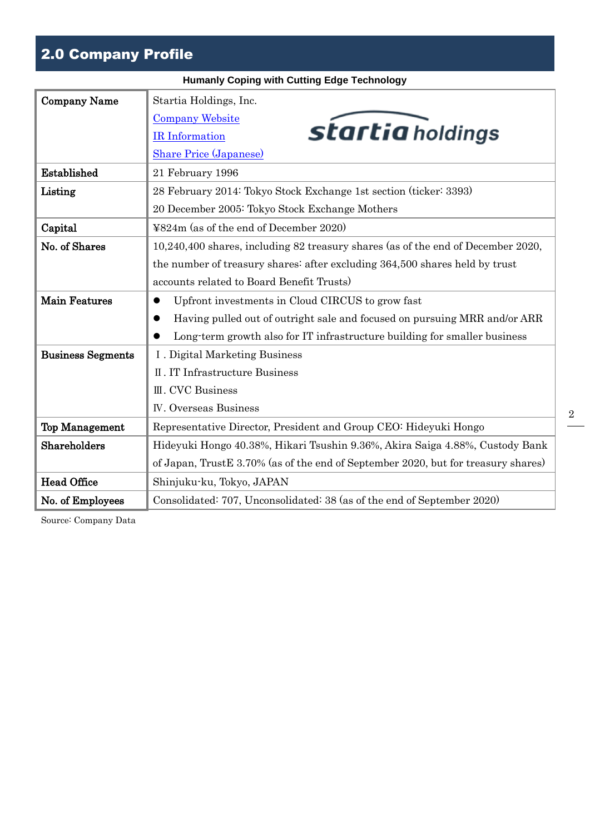## 2.0 Company Profile

|                          | <b>Humanly Coping with Cutting Edge Technology</b>                                |
|--------------------------|-----------------------------------------------------------------------------------|
| <b>Company Name</b>      | Startia Holdings, Inc.                                                            |
|                          | <b>Company Website</b>                                                            |
|                          | startia holdings<br><b>IR</b> Information                                         |
|                          | <b>Share Price (Japanese)</b>                                                     |
| Established              | 21 February 1996                                                                  |
| Listing                  | 28 February 2014: Tokyo Stock Exchange 1st section (ticker: 3393)                 |
|                          | 20 December 2005: Tokyo Stock Exchange Mothers                                    |
| Capital                  | ¥824m (as of the end of December 2020)                                            |
| No. of Shares            | 10,240,400 shares, including 82 treasury shares (as of the end of December 2020,  |
|                          | the number of treasury shares: after excluding 364,500 shares held by trust       |
|                          | accounts related to Board Benefit Trusts)                                         |
| Main Features            | Upfront investments in Cloud CIRCUS to grow fast                                  |
|                          | Having pulled out of outright sale and focused on pursuing MRR and/or ARR         |
|                          | Long-term growth also for IT infrastructure building for smaller business         |
| <b>Business Segments</b> | I. Digital Marketing Business                                                     |
|                          | II. IT Infrastructure Business                                                    |
|                          | III. CVC Business                                                                 |
|                          | <b>IV.</b> Overseas Business                                                      |
| <b>Top Management</b>    | Representative Director, President and Group CEO: Hideyuki Hongo                  |
| Shareholders             | Hideyuki Hongo 40.38%, Hikari Tsushin 9.36%, Akira Saiga 4.88%, Custody Bank      |
|                          | of Japan, TrustE 3.70% (as of the end of September 2020, but for treasury shares) |
| <b>Head Office</b>       | Shinjuku-ku, Tokyo, JAPAN                                                         |
| No. of Employees         | Consolidated: 707, Unconsolidated: 38 (as of the end of September 2020)           |
|                          |                                                                                   |

Source: Company Data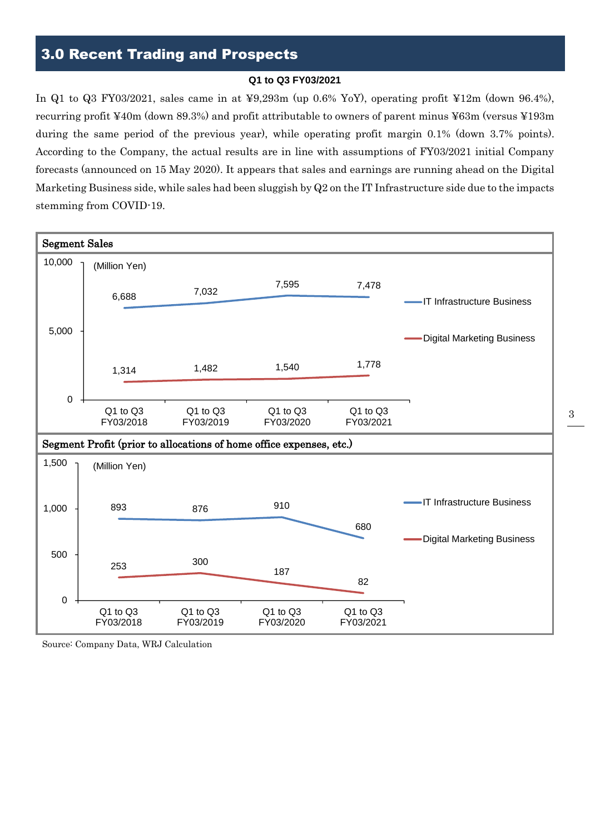## 3.0 Recent Trading and Prospects

#### **Q1 to Q3 FY03/2021**

In Q1 to Q3 FY03/2021, sales came in at ¥9,293m (up 0.6% YoY), operating profit ¥12m (down 96.4%), recurring profit ¥40m (down 89.3%) and profit attributable to owners of parent minus ¥63m (versus ¥193m during the same period of the previous year), while operating profit margin 0.1% (down 3.7% points). According to the Company, the actual results are in line with assumptions of FY03/2021 initial Company forecasts (announced on 15 May 2020). It appears that sales and earnings are running ahead on the Digital Marketing Business side, while sales had been sluggish by Q2 on the IT Infrastructure side due to the impacts stemming from COVID-19.



Source: Company Data, WRJ Calculation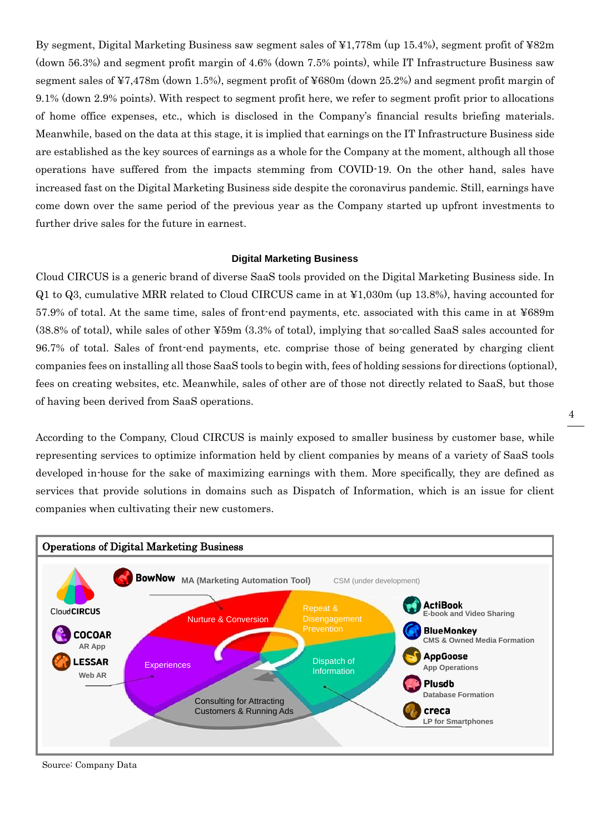By segment, Digital Marketing Business saw segment sales of ¥1,778m (up 15.4%), segment profit of ¥82m (down 56.3%) and segment profit margin of 4.6% (down 7.5% points), while IT Infrastructure Business saw segment sales of ¥7,478m (down 1.5%), segment profit of ¥680m (down 25.2%) and segment profit margin of 9.1% (down 2.9% points). With respect to segment profit here, we refer to segment profit prior to allocations of home office expenses, etc., which is disclosed in the Company's financial results briefing materials. Meanwhile, based on the data at this stage, it is implied that earnings on the IT Infrastructure Business side are established as the key sources of earnings as a whole for the Company at the moment, although all those operations have suffered from the impacts stemming from COVID-19. On the other hand, sales have increased fast on the Digital Marketing Business side despite the coronavirus pandemic. Still, earnings have come down over the same period of the previous year as the Company started up upfront investments to further drive sales for the future in earnest.

#### **Digital Marketing Business**

Cloud CIRCUS is a generic brand of diverse SaaS tools provided on the Digital Marketing Business side. In Q1 to Q3, cumulative MRR related to Cloud CIRCUS came in at ¥1,030m (up 13.8%), having accounted for 57.9% of total. At the same time, sales of front-end payments, etc. associated with this came in at ¥689m (38.8% of total), while sales of other ¥59m (3.3% of total), implying that so-called SaaS sales accounted for 96.7% of total. Sales of front-end payments, etc. comprise those of being generated by charging client companies fees on installing all those SaaS tools to begin with, fees of holding sessions for directions (optional), fees on creating websites, etc. Meanwhile, sales of other are of those not directly related to SaaS, but those of having been derived from SaaS operations.

According to the Company, Cloud CIRCUS is mainly exposed to smaller business by customer base, while representing services to optimize information held by client companies by means of a variety of SaaS tools developed in-house for the sake of maximizing earnings with them. More specifically, they are defined as services that provide solutions in domains such as Dispatch of Information, which is an issue for client companies when cultivating their new customers.



Source: Company Data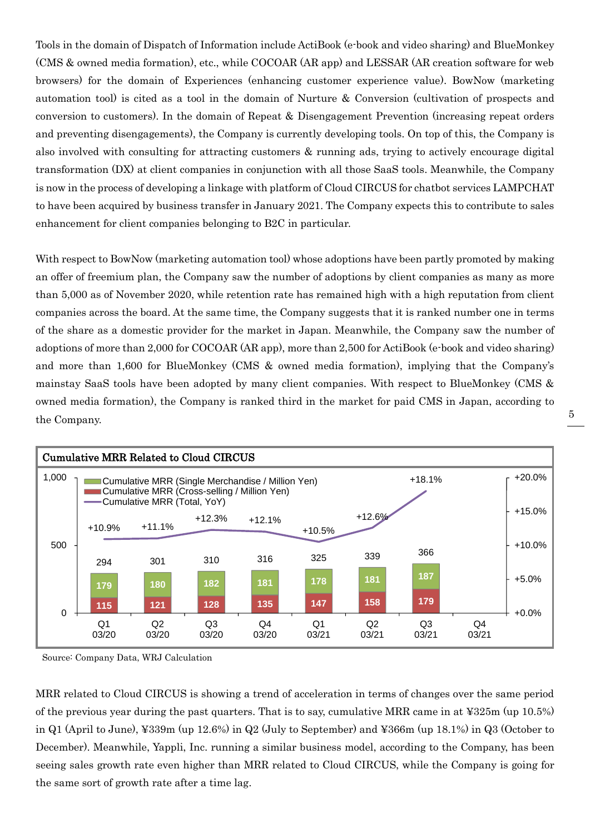Tools in the domain of Dispatch of Information include ActiBook (e-book and video sharing) and BlueMonkey (CMS & owned media formation), etc., while COCOAR (AR app) and LESSAR (AR creation software for web browsers) for the domain of Experiences (enhancing customer experience value). BowNow (marketing automation tool) is cited as a tool in the domain of Nurture & Conversion (cultivation of prospects and conversion to customers). In the domain of Repeat & Disengagement Prevention (increasing repeat orders and preventing disengagements), the Company is currently developing tools. On top of this, the Company is also involved with consulting for attracting customers & running ads, trying to actively encourage digital transformation (DX) at client companies in conjunction with all those SaaS tools. Meanwhile, the Company is now in the process of developing a linkage with platform of Cloud CIRCUS for chatbot services LAMPCHAT to have been acquired by business transfer in January 2021. The Company expects this to contribute to sales enhancement for client companies belonging to B2C in particular.

With respect to BowNow (marketing automation tool) whose adoptions have been partly promoted by making an offer of freemium plan, the Company saw the number of adoptions by client companies as many as more than 5,000 as of November 2020, while retention rate has remained high with a high reputation from client companies across the board. At the same time, the Company suggests that it is ranked number one in terms of the share as a domestic provider for the market in Japan. Meanwhile, the Company saw the number of adoptions of more than 2,000 for COCOAR (AR app), more than 2,500 for ActiBook (e-book and video sharing) and more than 1,600 for BlueMonkey (CMS & owned media formation), implying that the Company's mainstay SaaS tools have been adopted by many client companies. With respect to BlueMonkey (CMS & owned media formation), the Company is ranked third in the market for paid CMS in Japan, according to the Company.



Source: Company Data, WRJ Calculation

MRR related to Cloud CIRCUS is showing a trend of acceleration in terms of changes over the same period of the previous year during the past quarters. That is to say, cumulative MRR came in at ¥325m (up 10.5%) in Q1 (April to June), ¥339m (up 12.6%) in Q2 (July to September) and ¥366m (up 18.1%) in Q3 (October to December). Meanwhile, Yappli, Inc. running a similar business model, according to the Company, has been seeing sales growth rate even higher than MRR related to Cloud CIRCUS, while the Company is going for the same sort of growth rate after a time lag.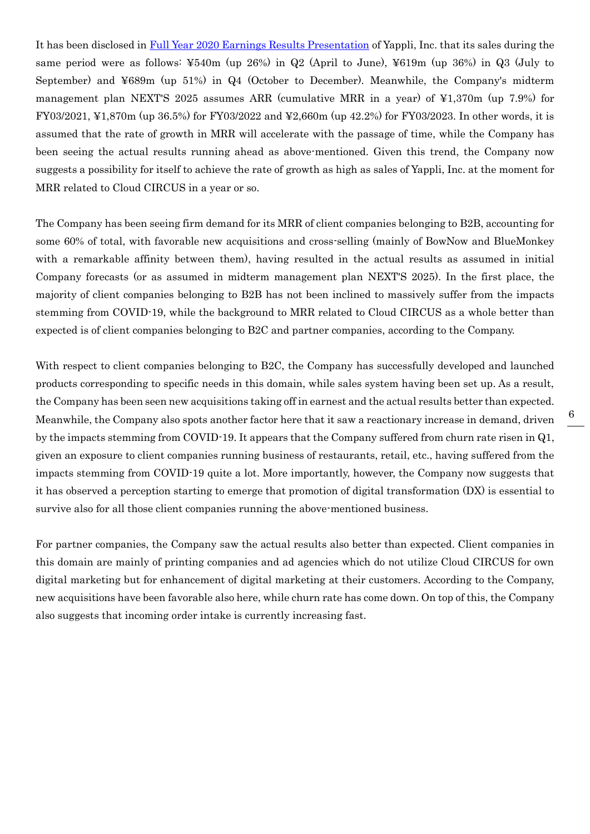It has been disclosed in [Full Year 2020 Earnings Results Presentation](https://ssl4.eir-parts.net/doc/4168/ir_material_for_fiscal_ym3/95595/00.pdf) of Yappli, Inc. that its sales during the same period were as follows: ¥540m (up 26%) in Q2 (April to June), ¥619m (up 36%) in Q3 (July to September) and ¥689m (up 51%) in Q4 (October to December). Meanwhile, the Company's midterm management plan NEXT'S 2025 assumes ARR (cumulative MRR in a year) of ¥1,370m (up 7.9%) for FY03/2021, ¥1,870m (up 36.5%) for FY03/2022 and ¥2,660m (up 42.2%) for FY03/2023. In other words, it is assumed that the rate of growth in MRR will accelerate with the passage of time, while the Company has been seeing the actual results running ahead as above-mentioned. Given this trend, the Company now suggests a possibility for itself to achieve the rate of growth as high as sales of Yappli, Inc. at the moment for MRR related to Cloud CIRCUS in a year or so.

The Company has been seeing firm demand for its MRR of client companies belonging to B2B, accounting for some 60% of total, with favorable new acquisitions and cross-selling (mainly of BowNow and BlueMonkey with a remarkable affinity between them), having resulted in the actual results as assumed in initial Company forecasts (or as assumed in midterm management plan NEXT'S 2025). In the first place, the majority of client companies belonging to B2B has not been inclined to massively suffer from the impacts stemming from COVID-19, while the background to MRR related to Cloud CIRCUS as a whole better than expected is of client companies belonging to B2C and partner companies, according to the Company.

With respect to client companies belonging to B2C, the Company has successfully developed and launched products corresponding to specific needs in this domain, while sales system having been set up. As a result, the Company has been seen new acquisitions taking off in earnest and the actual results better than expected. Meanwhile, the Company also spots another factor here that it saw a reactionary increase in demand, driven by the impacts stemming from COVID-19. It appears that the Company suffered from churn rate risen in Q1, given an exposure to client companies running business of restaurants, retail, etc., having suffered from the impacts stemming from COVID-19 quite a lot. More importantly, however, the Company now suggests that it has observed a perception starting to emerge that promotion of digital transformation (DX) is essential to survive also for all those client companies running the above-mentioned business.

For partner companies, the Company saw the actual results also better than expected. Client companies in this domain are mainly of printing companies and ad agencies which do not utilize Cloud CIRCUS for own digital marketing but for enhancement of digital marketing at their customers. According to the Company, new acquisitions have been favorable also here, while churn rate has come down. On top of this, the Company also suggests that incoming order intake is currently increasing fast.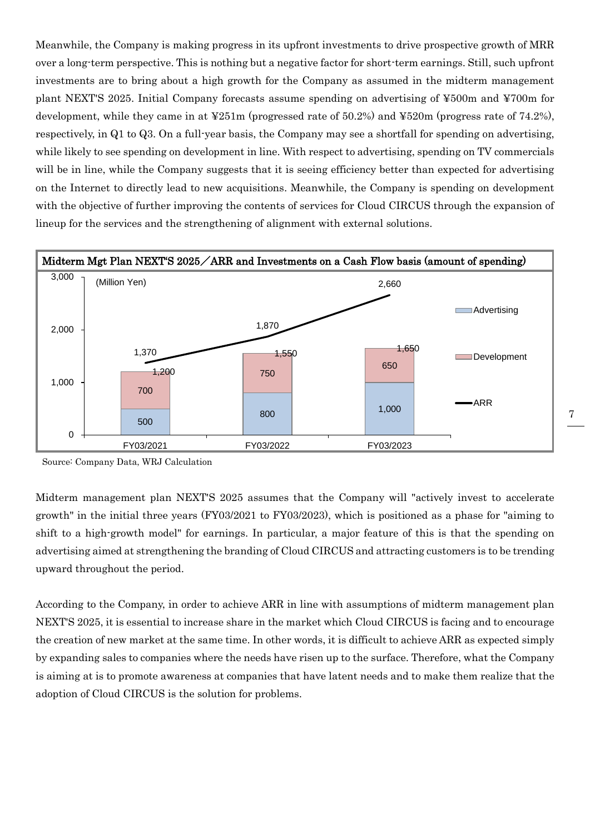Meanwhile, the Company is making progress in its upfront investments to drive prospective growth of MRR over a long-term perspective. This is nothing but a negative factor for short-term earnings. Still, such upfront investments are to bring about a high growth for the Company as assumed in the midterm management plant NEXT'S 2025. Initial Company forecasts assume spending on advertising of ¥500m and ¥700m for development, while they came in at ¥251m (progressed rate of 50.2%) and ¥520m (progress rate of 74.2%), respectively, in Q1 to Q3. On a full-year basis, the Company may see a shortfall for spending on advertising, while likely to see spending on development in line. With respect to advertising, spending on TV commercials will be in line, while the Company suggests that it is seeing efficiency better than expected for advertising on the Internet to directly lead to new acquisitions. Meanwhile, the Company is spending on development with the objective of further improving the contents of services for Cloud CIRCUS through the expansion of lineup for the services and the strengthening of alignment with external solutions.



Source: Company Data, WRJ Calculation

Midterm management plan NEXT'S 2025 assumes that the Company will "actively invest to accelerate growth" in the initial three years (FY03/2021 to FY03/2023), which is positioned as a phase for "aiming to shift to a high-growth model" for earnings. In particular, a major feature of this is that the spending on advertising aimed at strengthening the branding of Cloud CIRCUS and attracting customers is to be trending upward throughout the period.

According to the Company, in order to achieve ARR in line with assumptions of midterm management plan NEXT'S 2025, it is essential to increase share in the market which Cloud CIRCUS is facing and to encourage the creation of new market at the same time. In other words, it is difficult to achieve ARR as expected simply by expanding sales to companies where the needs have risen up to the surface. Therefore, what the Company is aiming at is to promote awareness at companies that have latent needs and to make them realize that the adoption of Cloud CIRCUS is the solution for problems.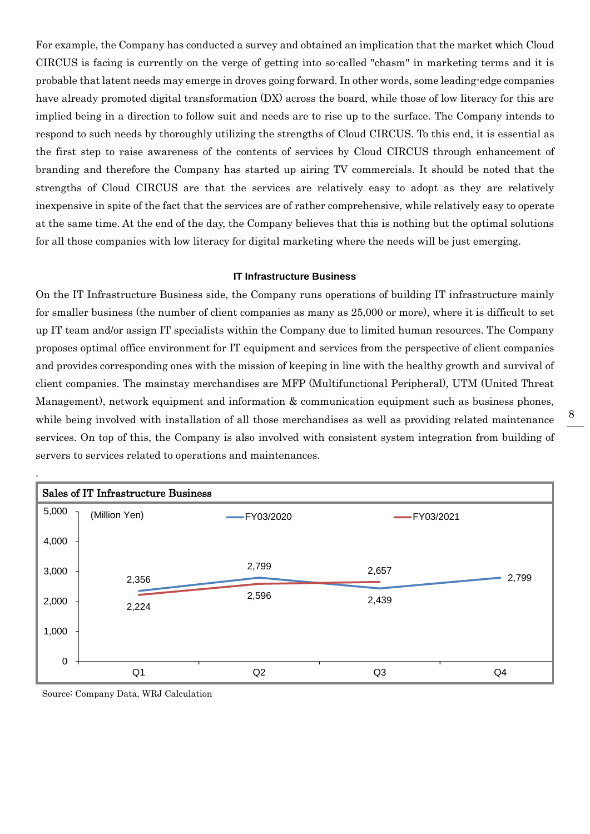For example, the Company has conducted a survey and obtained an implication that the market which Cloud CIRCUS is facing is currently on the verge of getting into so-called "chasm" in marketing terms and it is probable that latent needs may emerge in droves going forward. In other words, some leading-edge companies have already promoted digital transformation (DX) across the board, while those of low literacy for this are implied being in a direction to follow suit and needs are to rise up to the surface. The Company intends to respond to such needs by thoroughly utilizing the strengths of Cloud CIRCUS. To this end, it is essential as the first step to raise awareness of the contents of services by Cloud CIRCUS through enhancement of branding and therefore the Company has started up airing TV commercials. It should be noted that the strengths of Cloud CIRCUS are that the services are relatively easy to adopt as they are relatively inexpensive in spite of the fact that the services are of rather comprehensive, while relatively easy to operate at the same time. At the end of the day, the Company believes that this is nothing but the optimal solutions for all those companies with low literacy for digital marketing where the needs will be just emerging.

#### **IT Infrastructure Business**

On the IT Infrastructure Business side, the Company runs operations of building IT infrastructure mainly for smaller business (the number of client companies as many as 25,000 or more), where it is difficult to set up IT team and/or assign IT specialists within the Company due to limited human resources. The Company proposes optimal office environment for IT equipment and services from the perspective of client companies and provides corresponding ones with the mission of keeping in line with the healthy growth and survival of client companies. The mainstay merchandises are MFP (Multifunctional Peripheral), UTM (United Threat Management), network equipment and information & communication equipment such as business phones, while being involved with installation of all those merchandises as well as providing related maintenance services. On top of this, the Company is also involved with consistent system integration from building of servers to services related to operations and maintenances.



Source: Company Data, WRJ Calculation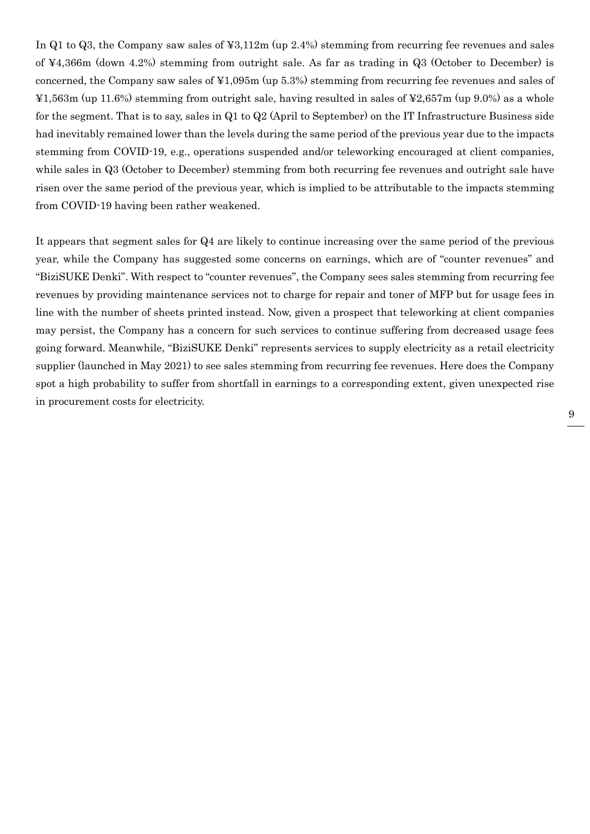In Q1 to Q3, the Company saw sales of ¥3,112m (up 2.4%) stemming from recurring fee revenues and sales of ¥4,366m (down 4.2%) stemming from outright sale. As far as trading in Q3 (October to December) is concerned, the Company saw sales of ¥1,095m (up 5.3%) stemming from recurring fee revenues and sales of ¥1,563m (up 11.6%) stemming from outright sale, having resulted in sales of ¥2,657m (up 9.0%) as a whole for the segment. That is to say, sales in Q1 to Q2 (April to September) on the IT Infrastructure Business side had inevitably remained lower than the levels during the same period of the previous year due to the impacts stemming from COVID-19, e.g., operations suspended and/or teleworking encouraged at client companies, while sales in Q3 (October to December) stemming from both recurring fee revenues and outright sale have risen over the same period of the previous year, which is implied to be attributable to the impacts stemming from COVID-19 having been rather weakened.

It appears that segment sales for Q4 are likely to continue increasing over the same period of the previous year, while the Company has suggested some concerns on earnings, which are of "counter revenues" and "BiziSUKE Denki". With respect to "counter revenues", the Company sees sales stemming from recurring fee revenues by providing maintenance services not to charge for repair and toner of MFP but for usage fees in line with the number of sheets printed instead. Now, given a prospect that teleworking at client companies may persist, the Company has a concern for such services to continue suffering from decreased usage fees going forward. Meanwhile, "BiziSUKE Denki" represents services to supply electricity as a retail electricity supplier (launched in May 2021) to see sales stemming from recurring fee revenues. Here does the Company spot a high probability to suffer from shortfall in earnings to a corresponding extent, given unexpected rise in procurement costs for electricity.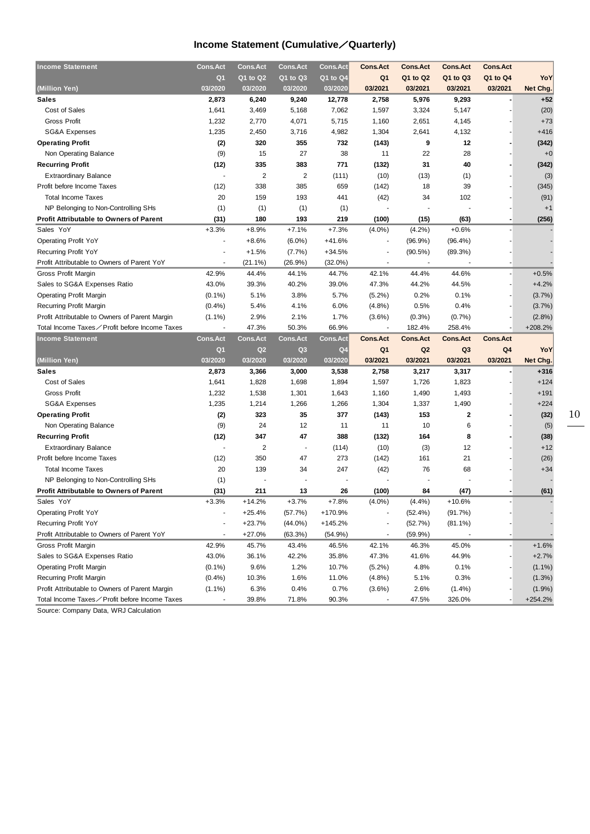## **Income Statement (Cumulative**/**Quarterly)**

| <b>Income Statement</b>                        | <b>Cons.Act</b>          | <b>Cons.Act</b> | <b>Cons.Act</b> | <b>Cons.Act</b> | <b>Cons.Act</b>          | <b>Cons.Act</b> | <b>Cons.Act</b> | <b>Cons.Act</b> |           |
|------------------------------------------------|--------------------------|-----------------|-----------------|-----------------|--------------------------|-----------------|-----------------|-----------------|-----------|
|                                                | Q <sub>1</sub>           | Q1 to Q2        | Q1 to Q3        | Q1 to Q4        | Q <sub>1</sub>           | Q1 to Q2        | Q1 to Q3        | Q1 to Q4        | YoY       |
| (Million Yen)                                  | 03/2020                  | 03/2020         | 03/2020         | 03/2020         | 03/2021                  | 03/2021         | 03/2021         | 03/2021         | Net Chg.  |
| Sales                                          | 2,873                    | 6,240           | 9,240           | 12,778          | 2,758                    | 5,976           | 9,293           |                 | $+52$     |
| Cost of Sales                                  | 1,641                    | 3,469           | 5,168           | 7,062           | 1,597                    | 3,324           | 5,147           |                 | (20)      |
| <b>Gross Profit</b>                            | 1,232                    | 2,770           | 4,071           | 5,715           | 1,160                    | 2,651           | 4,145           |                 | $+73$     |
| <b>SG&amp;A Expenses</b>                       | 1,235                    | 2,450           | 3,716           | 4,982           | 1,304                    | 2,641           | 4,132           |                 | $+416$    |
| <b>Operating Profit</b>                        | (2)                      | 320             | 355             | 732             | (143)                    | 9               | 12              |                 | (342)     |
| Non Operating Balance                          | (9)                      | 15              | 27              | 38              | 11                       | 22              | 28              |                 | $+0$      |
| <b>Recurring Profit</b>                        | (12)                     | 335             | 383             | 771             | (132)                    | 31              | 40              |                 | (342)     |
| <b>Extraordinary Balance</b>                   | $\sim$                   | $\overline{2}$  | $\overline{c}$  | (111)           | (10)                     | (13)            | (1)             |                 | (3)       |
| Profit before Income Taxes                     | (12)                     | 338             | 385             | 659             | (142)                    | 18              | 39              |                 | (345)     |
| <b>Total Income Taxes</b>                      | 20                       | 159             | 193             | 441             | (42)                     | 34              | 102             |                 | (91)      |
| NP Belonging to Non-Controlling SHs            | (1)                      | (1)             | (1)             | (1)             |                          |                 |                 |                 | $+1$      |
| <b>Profit Attributable to Owners of Parent</b> | (31)                     | 180             | 193             | 219             | (100)                    | (15)            | (63)            |                 | (256)     |
| Sales YoY                                      | $+3.3%$                  | $+8.9%$         | $+7.1%$         | $+7.3%$         | $(4.0\%)$                | (4.2%)          | $+0.6%$         |                 |           |
| <b>Operating Profit YoY</b>                    | ٠                        | $+8.6%$         | $(6.0\%)$       | $+41.6%$        |                          | $(96.9\%)$      | $(96.4\%)$      |                 |           |
| Recurring Profit YoY                           |                          | $+1.5%$         | (7.7%)          | $+34.5%$        |                          | (90.5%)         | (89.3%)         |                 |           |
| Profit Attributable to Owners of Parent YoY    |                          | $(21.1\%)$      | (26.9%)         | $(32.0\%)$      |                          |                 |                 |                 |           |
| Gross Profit Margin                            | 42.9%                    | 44.4%           | 44.1%           | 44.7%           | 42.1%                    | 44.4%           | 44.6%           |                 | $+0.5%$   |
| Sales to SG&A Expenses Ratio                   | 43.0%                    | 39.3%           | 40.2%           | 39.0%           | 47.3%                    | 44.2%           | 44.5%           |                 | $+4.2%$   |
| <b>Operating Profit Margin</b>                 | $(0.1\%)$                | 5.1%            | 3.8%            | 5.7%            | $(5.2\%)$                | 0.2%            | 0.1%            |                 | (3.7%)    |
| Recurring Profit Margin                        | (0.4% )                  | 5.4%            | 4.1%            | 6.0%            | (4.8%)                   | 0.5%            | 0.4%            |                 | (3.7%)    |
| Profit Attributable to Owners of Parent Margin | $(1.1\%)$                | 2.9%            | 2.1%            | 1.7%            | $(3.6\%)$                | (0.3%)          | (0.7%           |                 | (2.8%)    |
| Total Income Taxes∕ Profit before Income Taxes | ÷,                       | 47.3%           | 50.3%           | 66.9%           |                          | 182.4%          | 258.4%          |                 | $+208.2%$ |
|                                                |                          |                 |                 |                 |                          |                 |                 |                 |           |
|                                                |                          |                 |                 |                 |                          |                 |                 |                 |           |
| <b>Income Statement</b>                        | <b>Cons.Act</b>          | <b>Cons.Act</b> | <b>Cons.Act</b> | <b>Cons.Act</b> | <b>Cons.Act</b>          | <b>Cons.Act</b> | <b>Cons.Act</b> | <b>Cons.Act</b> |           |
|                                                | Q <sub>1</sub>           | Q <sub>2</sub>  | Q3              | Q <sub>4</sub>  | Q1                       | Q <sub>2</sub>  | Q3              | Q <sub>4</sub>  | YoY       |
| (Million Yen)                                  | 03/2020                  | 03/2020         | 03/2020         | 03/2020         | 03/2021                  | 03/2021         | 03/2021         | 03/2021         | Net Chg.  |
| <b>Sales</b>                                   | 2,873                    | 3,366           | 3,000           | 3,538           | 2,758                    | 3,217           | 3,317           |                 | $+316$    |
| Cost of Sales                                  | 1,641                    | 1,828           | 1,698           | 1,894           | 1,597                    | 1,726           | 1,823           |                 | $+124$    |
| <b>Gross Profit</b>                            | 1,232                    | 1,538           | 1,301           | 1,643           | 1,160                    | 1,490           | 1,493           |                 | $+191$    |
| SG&A Expenses                                  | 1,235                    | 1,214           | 1,266           | 1,266           | 1,304                    | 1,337           | 1,490           |                 | $+224$    |
| <b>Operating Profit</b>                        | (2)                      | 323             | 35              | 377             | (143)                    | 153             | 2               |                 | (32)      |
| Non Operating Balance                          | (9)                      | 24              | 12              | 11              | 11                       | 10              | 6               |                 | (5)       |
| <b>Recurring Profit</b>                        | (12)                     | 347             | 47              | 388             | (132)                    | 164             | 8               |                 | (38)      |
| <b>Extraordinary Balance</b>                   | $\overline{\phantom{a}}$ | $\overline{2}$  | $\blacksquare$  | (114)           | (10)                     | (3)             | 12              |                 | $+12$     |
| Profit before Income Taxes                     | (12)                     | 350             | 47              | 273             | (142)                    | 161             | 21              |                 | (26)      |
| <b>Total Income Taxes</b>                      | 20                       | 139             | 34              | 247             | (42)                     | 76              | 68              |                 | $+34$     |
| NP Belonging to Non-Controlling SHs            | (1)                      |                 |                 |                 |                          |                 |                 |                 |           |
| <b>Profit Attributable to Owners of Parent</b> | (31)                     | 211             | 13              | 26              | (100)                    | 84              | (47)            |                 | (61)      |
| Sales YoY                                      | $+3.3%$                  | $+14.2%$        | $+3.7%$         | $+7.8%$         | $(4.0\%)$                | (4.4%)          | $+10.6%$        |                 |           |
| <b>Operating Profit YoY</b>                    |                          | $+25.4%$        | (57.7%)         | +170.9%         |                          | (52.4%)         | (91.7%)         |                 |           |
| Recurring Profit YoY                           |                          | $+23.7%$        | $(44.0\%)$      | $+145.2%$       |                          | (52.7%)         | $(81.1\%)$      |                 |           |
| Profit Attributable to Owners of Parent YoY    | ٠                        | $+27.0%$        | (63.3%)         | $(54.9\%)$      | $\overline{\phantom{a}}$ | (59.9%)         |                 |                 |           |
| Gross Profit Margin                            | 42.9%                    | 45.7%           | 43.4%           | 46.5%           | 42.1%                    | 46.3%           | 45.0%           |                 | $+1.6%$   |
| Sales to SG&A Expenses Ratio                   | 43.0%                    | 36.1%           | 42.2%           | 35.8%           | 47.3%                    | 41.6%           | 44.9%           |                 | $+2.7%$   |
| <b>Operating Profit Margin</b>                 | $(0.1\%)$                | 9.6%            | 1.2%            | 10.7%           | $(5.2\%)$                | 4.8%            | 0.1%            |                 | $(1.1\%)$ |
| <b>Recurring Profit Margin</b>                 | (0.4% )                  | 10.3%           | 1.6%            | 11.0%           | (4.8%)                   | 5.1%            | 0.3%            |                 | $(1.3\%)$ |
| Profit Attributable to Owners of Parent Margin | $(1.1\%)$                | 6.3%            | 0.4%            | 0.7%            | $(3.6\%)$                | 2.6%            | (1.4%)          |                 | $(1.9\%)$ |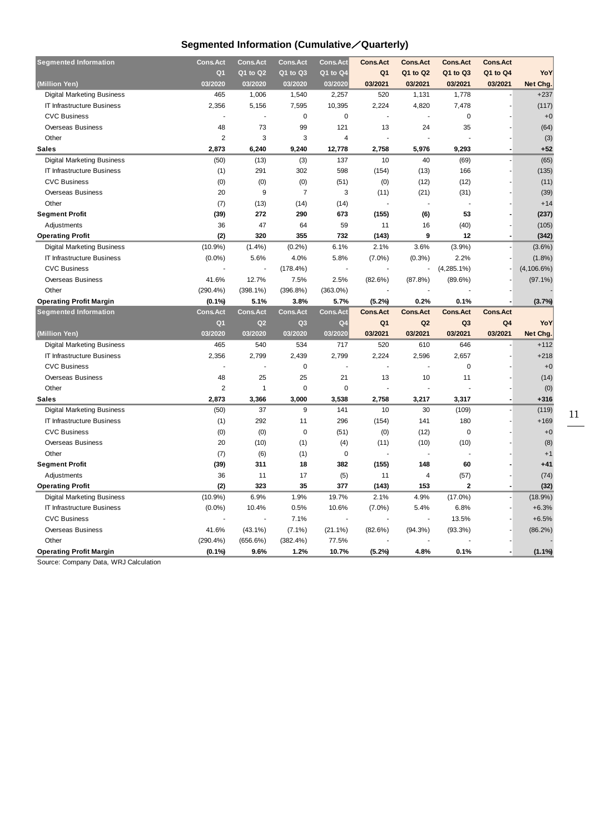## **Segmented Information (Cumulative**/**Quarterly)**

| <b>Segmented Information</b>            | <b>Cons.Act</b>          | <b>Cons.Act</b>  | <b>Cons.Act</b>  | <b>Cons.Act</b> | <b>Cons.Act</b> | <b>Cons.Act</b> | <b>Cons.Act</b> | <b>Cons.Act</b> |                |
|-----------------------------------------|--------------------------|------------------|------------------|-----------------|-----------------|-----------------|-----------------|-----------------|----------------|
|                                         | Q <sub>1</sub>           | $Q1$ to $Q2$     | Q1 to Q3         | Q1 to Q4        | Q <sub>1</sub>  | Q1 to Q2        | Q1 to Q3        | Q1 to Q4        | YoY            |
| (Million Yen)                           | 03/2020                  | 03/2020          | 03/2020          | 03/2020         | 03/2021         | 03/2021         | 03/2021         | 03/2021         | Net Chg.       |
| <b>Digital Marketing Business</b>       | 465                      | 1,006            | 1,540            | 2,257           | 520             | 1,131           | 1,778           |                 | $+237$         |
| IT Infrastructure Business              | 2,356                    | 5,156            | 7,595            | 10,395          | 2,224           | 4,820           | 7,478           |                 | (117)          |
| <b>CVC Business</b>                     |                          | ÷.               | $\mathbf 0$      | $\mathbf 0$     | ä,              | ÷.              | $\pmb{0}$       |                 | $+0$           |
| <b>Overseas Business</b>                | 48                       | 73               | 99               | 121             | 13              | 24              | 35              |                 | (64)           |
| Other                                   | $\overline{2}$           | 3                | 3                | 4               |                 |                 |                 |                 | (3)            |
| <b>Sales</b>                            | 2,873                    | 6,240            | 9,240            | 12,778          | 2,758           | 5,976           | 9,293           |                 | $+52$          |
| <b>Digital Marketing Business</b>       | (50)                     | (13)             | (3)              | 137             | 10              | 40              | (69)            |                 | (65)           |
| IT Infrastructure Business              | (1)                      | 291              | 302              | 598             | (154)           | (13)            | 166             |                 | (135)          |
| <b>CVC Business</b>                     | (0)                      | (0)              | (0)              | (51)            | (0)             | (12)            | (12)            |                 | (11)           |
| <b>Overseas Business</b>                | 20                       | 9                | $\overline{7}$   | 3               | (11)            | (21)            | (31)            |                 | (39)           |
| Other                                   | (7)                      | (13)             | (14)             | (14)            |                 |                 |                 |                 | $+14$          |
| <b>Segment Profit</b>                   | (39)                     | 272              | 290              | 673             | (155)           | (6)             | 53              |                 | (237)          |
| Adjustments                             | 36                       | 47               | 64               | 59              | 11              | 16              | (40)            |                 | (105)          |
| <b>Operating Profit</b>                 | (2)                      | 320              | 355              | 732             | (143)           | 9               | 12              |                 | (342)          |
| <b>Digital Marketing Business</b>       | $(10.9\%)$               | (1.4%)           | (0.2%)           | 6.1%            | 2.1%            | 3.6%            | $(3.9\%)$       |                 | $(3.6\%)$      |
| IT Infrastructure Business              | $(0.0\%)$                | 5.6%             | 4.0%             | 5.8%            | $(7.0\%)$       | (0.3%)          | 2.2%            |                 | (1.8%          |
| <b>CVC Business</b>                     |                          |                  | (178.4%)         |                 |                 |                 | $(4, 285.1\%)$  |                 | $(4, 106.6\%)$ |
| <b>Overseas Business</b>                | 41.6%                    | 12.7%            | 7.5%             | 2.5%            | (82.6%)         | (87.8%)         | $(89.6\%)$      |                 | $(97.1\%)$     |
| Other                                   | $(290.4\%)$              | $(398.1\%)$      | $(396.8\%)$      | $(363.0\%)$     |                 |                 |                 |                 |                |
| <b>Operating Profit Margin</b>          | $(0.1\%)$                | 5.1%             | 3.8%             | 5.7%            | (5.2%)          | 0.2%            | 0.1%            |                 | (3.7%          |
| <b>Segmented Information</b>            | <b>Cons.Act</b>          | Cons.Act         | <b>Cons.Act</b>  | <b>Cons.Act</b> | <b>Cons.Act</b> | <b>Cons.Act</b> | <b>Cons.Act</b> | <b>Cons.Act</b> |                |
|                                         | Q <sub>1</sub>           | Q2               | Q <sub>3</sub>   | Q <sub>4</sub>  | Q <sub>1</sub>  | Q2              | Q <sub>3</sub>  | Q <sub>4</sub>  | YoY            |
| (Million Yen)                           | 03/2020                  | 03/2020          | 03/2020          | 03/2020         | 03/2021         | 03/2021         | 03/2021         | 03/2021         | Net Chg.       |
| Digital Marketing Business              | 465                      | 540              | 534              | 717             | 520             | 610             | 646             |                 | $+112$         |
| IT Infrastructure Business              | 2,356                    | 2,799            | 2,439            | 2,799           | 2,224           | 2,596           | 2,657           |                 | $+218$         |
| <b>CVC Business</b>                     |                          |                  | $\mathbf 0$      |                 |                 | $\overline{a}$  | $\mathbf 0$     |                 | $+0$           |
| <b>Overseas Business</b>                | 48                       | 25               | 25               | 21              | 13              | 10              | 11              |                 | (14)           |
| Other                                   | 2                        | $\mathbf{1}$     | $\mathbf 0$      | $\mathbf 0$     |                 |                 |                 |                 | (0)            |
| <b>Sales</b>                            | 2.873                    | 3,366            | 3,000            | 3,538           | 2,758           | 3,217           | 3,317           |                 | $+316$         |
| <b>Digital Marketing Business</b>       | (50)                     | 37               | 9                | 141             | 10              | 30              | (109)           |                 | (119)          |
| <b>IT Infrastructure Business</b>       | (1)                      | 292              | 11               | 296             | (154)           | 141             | 180             |                 | $+169$         |
| <b>CVC Business</b>                     | (0)                      | (0)              | $\mathbf 0$      | (51)            | (0)             | (12)            | 0               |                 | $+0$           |
| <b>Overseas Business</b>                | 20                       | (10)             | (1)              | (4)             | (11)            | (10)            | (10)            |                 | (8)            |
| Other                                   | (7)                      | (6)              | (1)              | $\mathbf 0$     |                 |                 |                 |                 | $+1$           |
| <b>Segment Profit</b>                   | (39)                     | 311              | 18               | 382             | (155)           | 148             | 60              |                 | $+41$          |
| Adjustments                             |                          |                  |                  |                 |                 |                 |                 |                 | (74)           |
|                                         | 36                       | 11               | 17               | (5)             | 11              | 4               | (57)            |                 |                |
| <b>Operating Profit</b>                 | (2)                      | 323              | 35               | 377             | (143)           | 153             | $\overline{2}$  |                 | (32)           |
| <b>Digital Marketing Business</b>       | $(10.9\%)$               | 6.9%             | 1.9%             | 19.7%           | 2.1%            | 4.9%            | $(17.0\%)$      |                 | $(18.9\%)$     |
| IT Infrastructure Business              | $(0.0\%)$                | 10.4%            | 0.5%             | 10.6%           | $(7.0\%)$       | 5.4%            | 6.8%            |                 | $+6.3%$        |
| <b>CVC Business</b>                     |                          |                  | 7.1%             |                 |                 | ÷.              | 13.5%           |                 | $+6.5%$        |
| <b>Overseas Business</b>                | 41.6%                    | $(43.1\%)$       | $(7.1\%)$        | $(21.1\%)$      | (82.6%)         | $(94.3\%)$      | (93.3%)         |                 | $(86.2\%)$     |
| Other<br><b>Operating Profit Margin</b> | $(290.4\%)$<br>$(0.1\%)$ | (656.6%)<br>9.6% | (382.4%)<br>1.2% | 77.5%<br>10.7%  | (5.2%)          | 4.8%            | 0.1%            |                 | $(1.1\%)$      |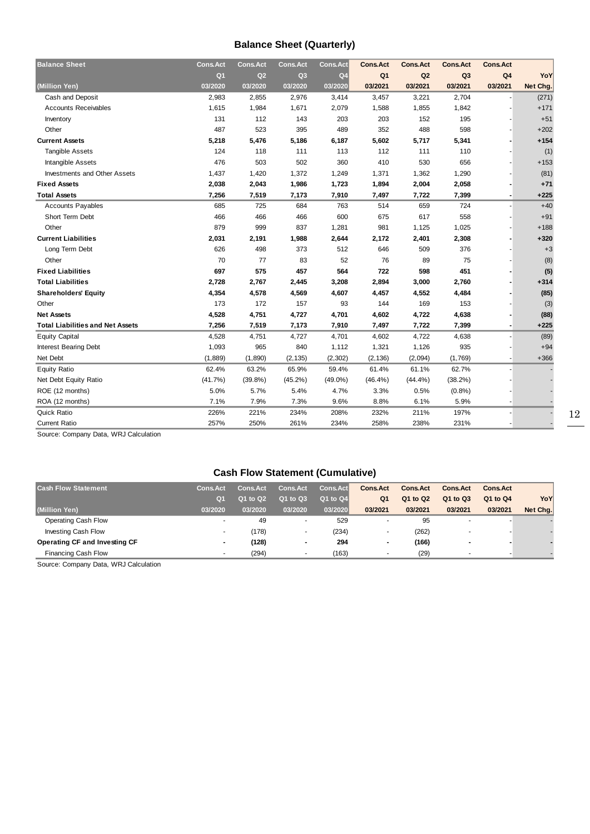## **Balance Sheet (Quarterly)**

| <b>Balance Sheet</b>                    | <b>Cons.Act</b> | Cons.Act   | <b>Cons.Act</b> | <b>Cons.Act</b> | <b>Cons.Act</b> | <b>Cons.Act</b> | <b>Cons.Act</b> | <b>Cons.Act</b>          |          |
|-----------------------------------------|-----------------|------------|-----------------|-----------------|-----------------|-----------------|-----------------|--------------------------|----------|
|                                         | Q <sub>1</sub>  | Q2         | Q3              | Q <sub>4</sub>  | Q <sub>1</sub>  | Q2              | Q <sub>3</sub>  | Q <sub>4</sub>           | YoY      |
| (Million Yen)                           | 03/2020         | 03/2020    | 03/2020         | 03/2020         | 03/2021         | 03/2021         | 03/2021         | 03/2021                  | Net Chg. |
| Cash and Deposit                        | 2,983           | 2,855      | 2,976           | 3,414           | 3,457           | 3,221           | 2,704           |                          | (271)    |
| <b>Accounts Receivables</b>             | 1,615           | 1,984      | 1,671           | 2,079           | 1,588           | 1,855           | 1,842           |                          | $+171$   |
| Inventory                               | 131             | 112        | 143             | 203             | 203             | 152             | 195             |                          | $+51$    |
| Other                                   | 487             | 523        | 395             | 489             | 352             | 488             | 598             |                          | $+202$   |
| <b>Current Assets</b>                   | 5,218           | 5,476      | 5,186           | 6,187           | 5,602           | 5,717           | 5,341           |                          | $+154$   |
| <b>Tangible Assets</b>                  | 124             | 118        | 111             | 113             | 112             | 111             | 110             |                          | (1)      |
| <b>Intangible Assets</b>                | 476             | 503        | 502             | 360             | 410             | 530             | 656             |                          | $+153$   |
| <b>Investments and Other Assets</b>     | 1,437           | 1,420      | 1,372           | 1,249           | 1,371           | 1,362           | 1,290           |                          | (81)     |
| <b>Fixed Assets</b>                     | 2,038           | 2,043      | 1,986           | 1,723           | 1,894           | 2,004           | 2,058           |                          | $+71$    |
| <b>Total Assets</b>                     | 7,256           | 7,519      | 7,173           | 7,910           | 7,497           | 7,722           | 7,399           |                          | $+225$   |
| <b>Accounts Payables</b>                | 685             | 725        | 684             | 763             | 514             | 659             | 724             |                          | $+40$    |
| Short Term Debt                         | 466             | 466        | 466             | 600             | 675             | 617             | 558             |                          | $+91$    |
| Other                                   | 879             | 999        | 837             | 1,281           | 981             | 1,125           | 1,025           |                          | $+188$   |
| <b>Current Liabilities</b>              | 2,031           | 2,191      | 1,988           | 2,644           | 2,172           | 2,401           | 2,308           |                          | $+320$   |
| Long Term Debt                          | 626             | 498        | 373             | 512             | 646             | 509             | 376             |                          | $+3$     |
| Other                                   | 70              | 77         | 83              | 52              | 76              | 89              | 75              |                          | (8)      |
| <b>Fixed Liabilities</b>                | 697             | 575        | 457             | 564             | 722             | 598             | 451             |                          | (5)      |
| <b>Total Liabilities</b>                | 2,728           | 2,767      | 2,445           | 3,208           | 2,894           | 3,000           | 2,760           |                          | $+314$   |
| <b>Shareholders' Equity</b>             | 4,354           | 4,578      | 4,569           | 4,607           | 4,457           | 4,552           | 4,484           |                          | (85)     |
| Other                                   | 173             | 172        | 157             | 93              | 144             | 169             | 153             |                          | (3)      |
| <b>Net Assets</b>                       | 4,528           | 4,751      | 4,727           | 4,701           | 4,602           | 4,722           | 4,638           |                          | (88)     |
| <b>Total Liabilities and Net Assets</b> | 7,256           | 7,519      | 7,173           | 7,910           | 7,497           | 7,722           | 7,399           | $\overline{\phantom{a}}$ | $+225$   |
| <b>Equity Capital</b>                   | 4,528           | 4,751      | 4,727           | 4,701           | 4,602           | 4,722           | 4,638           |                          | (89)     |
| <b>Interest Bearing Debt</b>            | 1,093           | 965        | 840             | 1,112           | 1,321           | 1,126           | 935             |                          | $+94$    |
| Net Debt                                | (1,889)         | (1,890)    | (2, 135)        | (2, 302)        | (2, 136)        | (2,094)         | (1,769)         |                          | $+366$   |
| <b>Equity Ratio</b>                     | 62.4%           | 63.2%      | 65.9%           | 59.4%           | 61.4%           | 61.1%           | 62.7%           |                          |          |
| Net Debt Equity Ratio                   | (41.7%)         | $(39.8\%)$ | $(45.2\%)$      | $(49.0\%)$      | $(46.4\%)$      | (44.4%)         | $(38.2\%)$      |                          |          |
| ROE (12 months)                         | 5.0%            | 5.7%       | 5.4%            | 4.7%            | 3.3%            | 0.5%            | (0.8%           |                          |          |
| ROA (12 months)                         | 7.1%            | 7.9%       | 7.3%            | 9.6%            | 8.8%            | 6.1%            | 5.9%            |                          |          |
| Quick Ratio                             | 226%            | 221%       | 234%            | 208%            | 232%            | 211%            | 197%            |                          |          |
| <b>Current Ratio</b>                    | 257%            | 250%       | 261%            | 234%            | 258%            | 238%            | 231%            |                          |          |

Source: Company Data, WRJ Calculation

## **Cash Flow Statement (Cumulative)**

| <b>Cash Flow Statement</b>      | <b>Cons.Act</b>          | <b>Cons.Act</b> | <b>Cons.Act</b> | <b>Cons.Act</b> | <b>Cons.Act</b> | <b>Cons.Act</b> | <b>Cons.Act</b>          | <b>Cons.Act</b> |          |
|---------------------------------|--------------------------|-----------------|-----------------|-----------------|-----------------|-----------------|--------------------------|-----------------|----------|
|                                 | Q <sub>1</sub>           | Q1 to Q2        | Q1 to Q3        | Q1 to Q4        | Q <sub>1</sub>  | Q1 to Q2        | Q1 to Q3                 | Q1 to Q4        | YoY      |
| (Million Yen)                   | 03/2020                  | 03/2020         | 03/2020         | 03/2020         | 03/2021         | 03/2021         | 03/2021                  | 03/2021         | Net Chg. |
| Operating Cash Flow             | $\overline{\phantom{a}}$ | 49              | ۰               | 529             |                 | 95              | $\overline{\phantom{a}}$ |                 |          |
| Investing Cash Flow             |                          | (178)           |                 | (234)           |                 | (262)           |                          |                 |          |
| Operating CF and Investing CF   |                          | (128)           | ۰               | 294             | $\blacksquare$  | (166)           | $\blacksquare$           |                 |          |
| Financing Cash Flow             |                          | (294)           |                 | (163)           |                 | (29)            |                          |                 |          |
| $\overline{\phantom{0}}$<br>_ _ |                          |                 |                 |                 |                 |                 |                          |                 |          |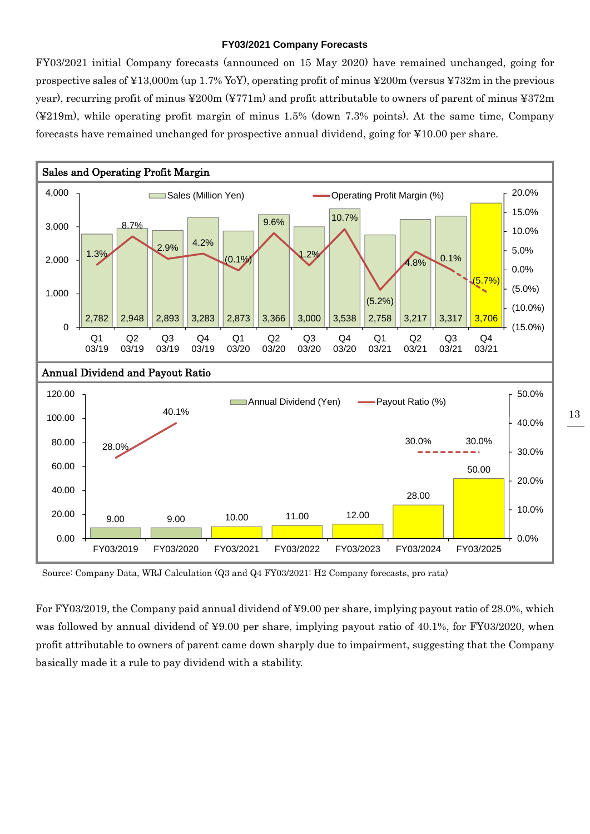#### **FY03/2021 Company Forecasts**

FY03/2021 initial Company forecasts (announced on 15 May 2020) have remained unchanged, going for prospective sales of ¥13,000m (up 1.7% YoY), operating profit of minus ¥200m (versus ¥732m in the previous year), recurring profit of minus ¥200m (¥771m) and profit attributable to owners of parent of minus ¥372m (¥219m), while operating profit margin of minus 1.5% (down 7.3% points). At the same time, Company forecasts have remained unchanged for prospective annual dividend, going for ¥10.00 per share.



Source: Company Data, WRJ Calculation (Q3 and Q4 FY03/2021: H2 Company forecasts, pro rata)

For FY03/2019, the Company paid annual dividend of ¥9.00 per share, implying payout ratio of 28.0%, which was followed by annual dividend of ¥9.00 per share, implying payout ratio of 40.1%, for FY03/2020, when profit attributable to owners of parent came down sharply due to impairment, suggesting that the Company basically made it a rule to pay dividend with a stability.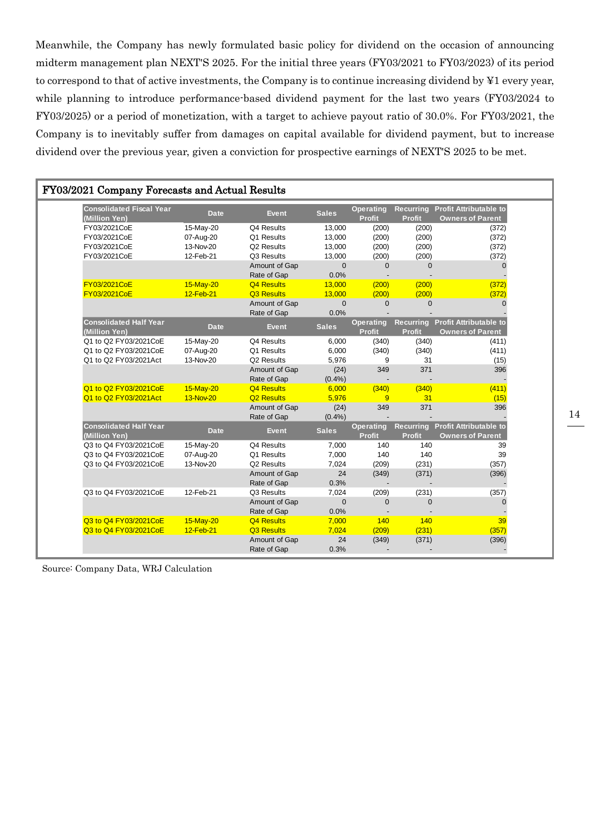Meanwhile, the Company has newly formulated basic policy for dividend on the occasion of announcing midterm management plan NEXT'S 2025. For the initial three years (FY03/2021 to FY03/2023) of its period to correspond to that of active investments, the Company is to continue increasing dividend by ¥1 every year, while planning to introduce performance-based dividend payment for the last two years (FY03/2024 to FY03/2025) or a period of monetization, with a target to achieve payout ratio of 30.0%. For FY03/2021, the Company is to inevitably suffer from damages on capital available for dividend payment, but to increase dividend over the previous year, given a conviction for prospective earnings of NEXT'S 2025 to be met.

|                                                  | FY03/2021 Company Forecasts and Actual Results |                              |                      |                                   |                                   |                                                             |  |  |  |  |
|--------------------------------------------------|------------------------------------------------|------------------------------|----------------------|-----------------------------------|-----------------------------------|-------------------------------------------------------------|--|--|--|--|
| <b>Consolidated Fiscal Year</b><br>(Million Yen) | <b>Date</b>                                    | <b>Event</b>                 | <b>Sales</b>         | <b>Operating</b><br><b>Profit</b> | <b>Profit</b>                     | Recurring Profit Attributable to<br><b>Owners of Parent</b> |  |  |  |  |
| FY03/2021CoE                                     | 15-May-20                                      | Q4 Results                   | 13,000               | (200)                             | (200)                             | (372)                                                       |  |  |  |  |
| FY03/2021CoE                                     | 07-Aug-20                                      | Q1 Results                   | 13,000               | (200)                             | (200)                             | (372)                                                       |  |  |  |  |
| FY03/2021CoE                                     | 13-Nov-20                                      | Q2 Results                   | 13,000               | (200)                             | (200)                             | (372)                                                       |  |  |  |  |
| FY03/2021CoE                                     | 12-Feb-21                                      | Q3 Results                   | 13,000               | (200)                             | (200)                             | (372)                                                       |  |  |  |  |
|                                                  |                                                | Amount of Gap<br>Rate of Gap | $\mathbf{0}$<br>0.0% | 0                                 | $\Omega$                          | $\mathbf{0}$                                                |  |  |  |  |
| FY03/2021CoE                                     | 15-May-20                                      | Q4 Results                   | 13,000               | (200)                             | (200)                             | (372)                                                       |  |  |  |  |
| FY03/2021CoE                                     | 12-Feb-21                                      | Q3 Results                   | 13,000               | (200)                             | (200)                             | (372)                                                       |  |  |  |  |
|                                                  |                                                | Amount of Gap                | $\mathbf{0}$         | $\overline{0}$                    | $\Omega$                          | U                                                           |  |  |  |  |
|                                                  |                                                | Rate of Gap                  | 0.0%                 |                                   |                                   |                                                             |  |  |  |  |
| <b>Consolidated Half Year</b><br>(Million Yen)   | <b>Date</b>                                    | Event                        | <b>Sales</b>         | <b>Operating</b><br><b>Profit</b> | <b>Profit</b>                     | Recurring Profit Attributable to<br><b>Owners of Parent</b> |  |  |  |  |
| Q1 to Q2 FY03/2021CoE                            | 15-May-20                                      | Q4 Results                   | 6,000                | (340)                             | (340)                             | (411)                                                       |  |  |  |  |
| Q1 to Q2 FY03/2021CoE                            | 07-Aug-20                                      | Q1 Results                   | 6,000                | (340)                             | (340)                             | (411)                                                       |  |  |  |  |
| Q1 to Q2 FY03/2021Act                            | 13-Nov-20                                      | Q <sub>2</sub> Results       | 5,976                | 9                                 | 31                                | (15)                                                        |  |  |  |  |
|                                                  |                                                | Amount of Gap                | (24)                 | 349                               | 371                               | 396                                                         |  |  |  |  |
|                                                  |                                                | Rate of Gap                  | (0.4% )              |                                   |                                   |                                                             |  |  |  |  |
| Q1 to Q2 FY03/2021CoE                            | 15-May-20                                      | Q4 Results                   | 6,000                | (340)                             | (340)                             | (411)                                                       |  |  |  |  |
| Q1 to Q2 FY03/2021Act                            | 13-Nov-20                                      | Q <sub>2</sub> Results       | 5,976                | 9                                 | 31                                | (15)                                                        |  |  |  |  |
|                                                  |                                                | Amount of Gap                | (24)                 | 349                               | 371                               | 396                                                         |  |  |  |  |
|                                                  |                                                | Rate of Gap                  | (0.4% )              |                                   |                                   |                                                             |  |  |  |  |
| <b>Consolidated Half Year</b><br>(Million Yen)   | <b>Date</b>                                    | <b>Event</b>                 | <b>Sales</b>         | <b>Operating</b><br><b>Profit</b> | <b>Recurring</b><br><b>Profit</b> | <b>Profit Attributable to</b><br><b>Owners of Parent</b>    |  |  |  |  |
| Q3 to Q4 FY03/2021CoE                            | 15-May-20                                      | Q4 Results                   | 7,000                | 140                               | 140                               | 39                                                          |  |  |  |  |
| Q3 to Q4 FY03/2021CoE                            | 07-Aug-20                                      | Q1 Results                   | 7,000                | 140                               | 140                               | 39                                                          |  |  |  |  |
| Q3 to Q4 FY03/2021CoE                            | 13-Nov-20                                      | Q2 Results                   | 7,024                | (209)                             | (231)                             | (357)                                                       |  |  |  |  |
|                                                  |                                                | Amount of Gap<br>Rate of Gap | 24<br>0.3%           | (349)                             | (371)                             | (396)                                                       |  |  |  |  |
| Q3 to Q4 FY03/2021CoE                            | 12-Feb-21                                      | Q3 Results                   | 7,024                | (209)                             | (231)                             | (357)                                                       |  |  |  |  |
|                                                  |                                                | Amount of Gap<br>Rate of Gap | $\mathbf{0}$<br>0.0% | $\Omega$                          | $\Omega$                          | $\mathbf 0$                                                 |  |  |  |  |
| Q3 to Q4 FY03/2021CoE                            | 15-May-20                                      | Q4 Results                   | 7,000                | 140                               | 140                               | 39                                                          |  |  |  |  |
| Q3 to Q4 FY03/2021CoE                            | 12-Feb-21                                      | Q3 Results                   | 7.024                | (209)                             | (231)                             | (357)                                                       |  |  |  |  |
|                                                  |                                                | Amount of Gap                | 24                   | (349)                             | (371)                             | (396)                                                       |  |  |  |  |
|                                                  |                                                | Rate of Gap                  | 0.3%                 |                                   |                                   |                                                             |  |  |  |  |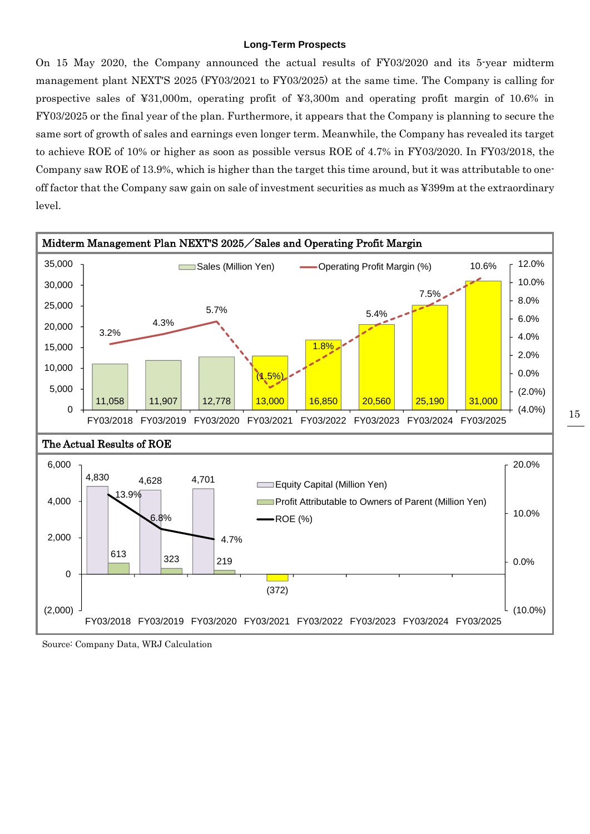#### **Long-Term Prospects**

On 15 May 2020, the Company announced the actual results of FY03/2020 and its 5-year midterm management plant NEXT'S 2025 (FY03/2021 to FY03/2025) at the same time. The Company is calling for prospective sales of ¥31,000m, operating profit of ¥3,300m and operating profit margin of 10.6% in FY03/2025 or the final year of the plan. Furthermore, it appears that the Company is planning to secure the same sort of growth of sales and earnings even longer term. Meanwhile, the Company has revealed its target to achieve ROE of 10% or higher as soon as possible versus ROE of 4.7% in FY03/2020. In FY03/2018, the Company saw ROE of 13.9%, which is higher than the target this time around, but it was attributable to oneoff factor that the Company saw gain on sale of investment securities as much as ¥399m at the extraordinary level.



Source: Company Data, WRJ Calculation

15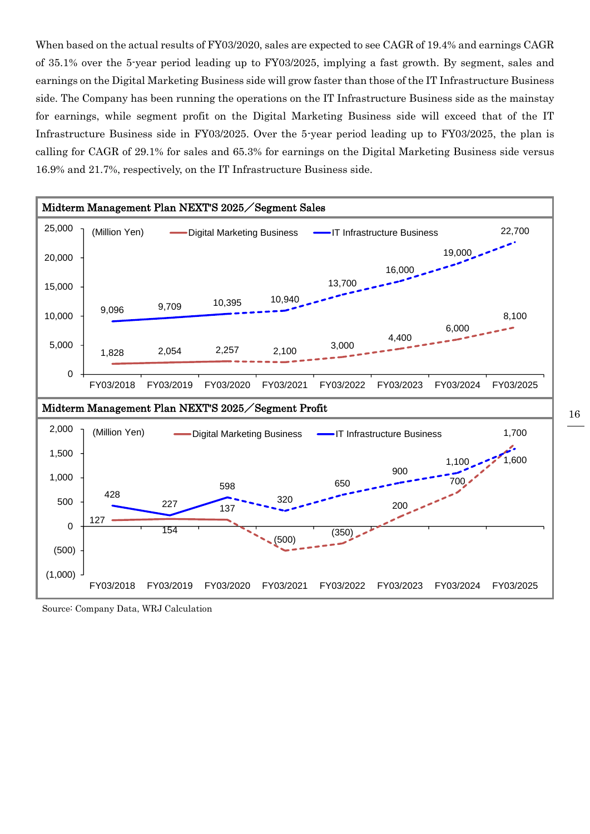When based on the actual results of FY03/2020, sales are expected to see CAGR of 19.4% and earnings CAGR of 35.1% over the 5-year period leading up to FY03/2025, implying a fast growth. By segment, sales and earnings on the Digital Marketing Business side will grow faster than those of the IT Infrastructure Business side. The Company has been running the operations on the IT Infrastructure Business side as the mainstay for earnings, while segment profit on the Digital Marketing Business side will exceed that of the IT Infrastructure Business side in FY03/2025. Over the 5-year period leading up to FY03/2025, the plan is calling for CAGR of 29.1% for sales and 65.3% for earnings on the Digital Marketing Business side versus 16.9% and 21.7%, respectively, on the IT Infrastructure Business side.



Source: Company Data, WRJ Calculation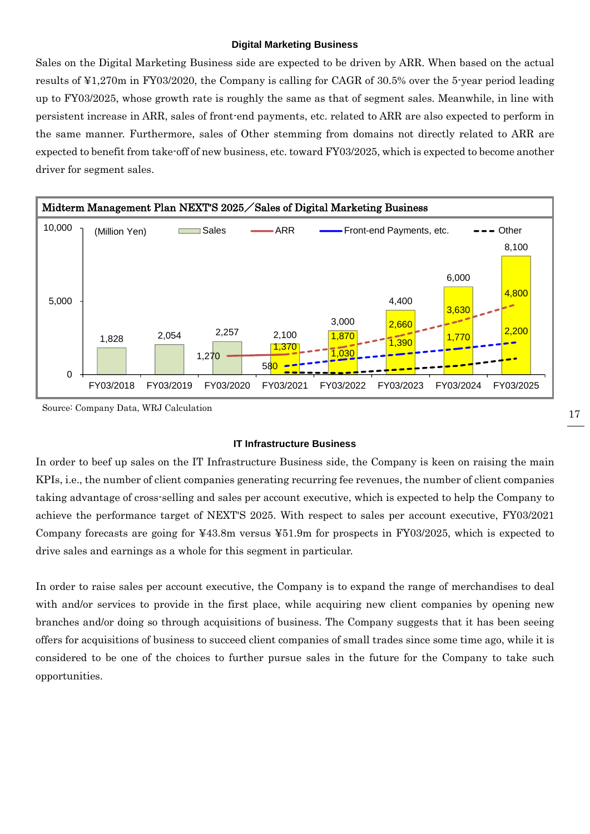#### **Digital Marketing Business**

Sales on the Digital Marketing Business side are expected to be driven by ARR. When based on the actual results of ¥1,270m in FY03/2020, the Company is calling for CAGR of 30.5% over the 5-year period leading up to FY03/2025, whose growth rate is roughly the same as that of segment sales. Meanwhile, in line with persistent increase in ARR, sales of front-end payments, etc. related to ARR are also expected to perform in the same manner. Furthermore, sales of Other stemming from domains not directly related to ARR are expected to benefit from take-off of new business, etc. toward FY03/2025, which is expected to become another driver for segment sales.



Source: Company Data, WRJ Calculation

#### **IT Infrastructure Business**

In order to beef up sales on the IT Infrastructure Business side, the Company is keen on raising the main KPIs, i.e., the number of client companies generating recurring fee revenues, the number of client companies taking advantage of cross-selling and sales per account executive, which is expected to help the Company to achieve the performance target of NEXT'S 2025. With respect to sales per account executive, FY03/2021 Company forecasts are going for ¥43.8m versus ¥51.9m for prospects in FY03/2025, which is expected to drive sales and earnings as a whole for this segment in particular.

In order to raise sales per account executive, the Company is to expand the range of merchandises to deal with and/or services to provide in the first place, while acquiring new client companies by opening new branches and/or doing so through acquisitions of business. The Company suggests that it has been seeing offers for acquisitions of business to succeed client companies of small trades since some time ago, while it is considered to be one of the choices to further pursue sales in the future for the Company to take such opportunities.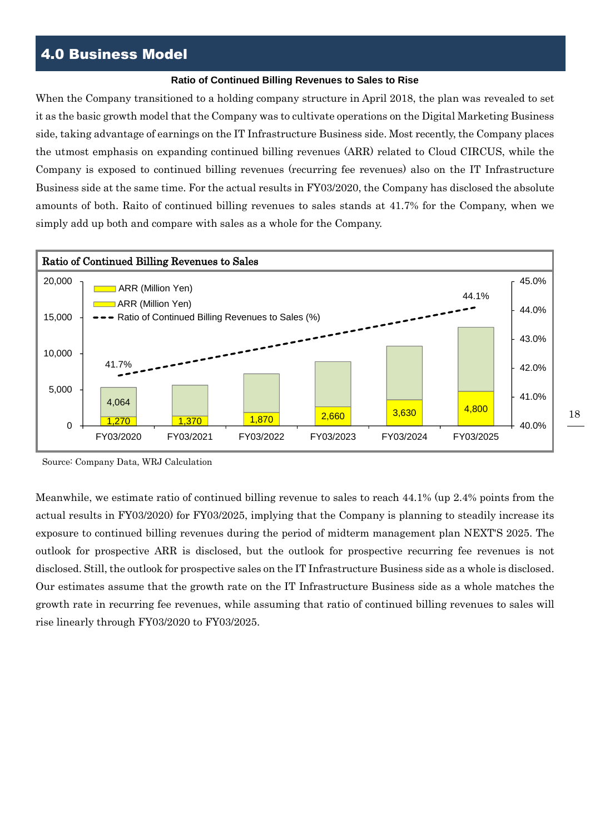## 4.0 Business Model

#### **Ratio of Continued Billing Revenues to Sales to Rise**

When the Company transitioned to a holding company structure in April 2018, the plan was revealed to set it as the basic growth model that the Company was to cultivate operations on the Digital Marketing Business side, taking advantage of earnings on the IT Infrastructure Business side. Most recently, the Company places the utmost emphasis on expanding continued billing revenues (ARR) related to Cloud CIRCUS, while the Company is exposed to continued billing revenues (recurring fee revenues) also on the IT Infrastructure Business side at the same time. For the actual results in FY03/2020, the Company has disclosed the absolute amounts of both. Raito of continued billing revenues to sales stands at 41.7% for the Company, when we simply add up both and compare with sales as a whole for the Company.



Source: Company Data, WRJ Calculation

Meanwhile, we estimate ratio of continued billing revenue to sales to reach 44.1% (up 2.4% points from the actual results in FY03/2020) for FY03/2025, implying that the Company is planning to steadily increase its exposure to continued billing revenues during the period of midterm management plan NEXT'S 2025. The outlook for prospective ARR is disclosed, but the outlook for prospective recurring fee revenues is not disclosed. Still, the outlook for prospective sales on the IT Infrastructure Business side as a whole is disclosed. Our estimates assume that the growth rate on the IT Infrastructure Business side as a whole matches the growth rate in recurring fee revenues, while assuming that ratio of continued billing revenues to sales will rise linearly through FY03/2020 to FY03/2025.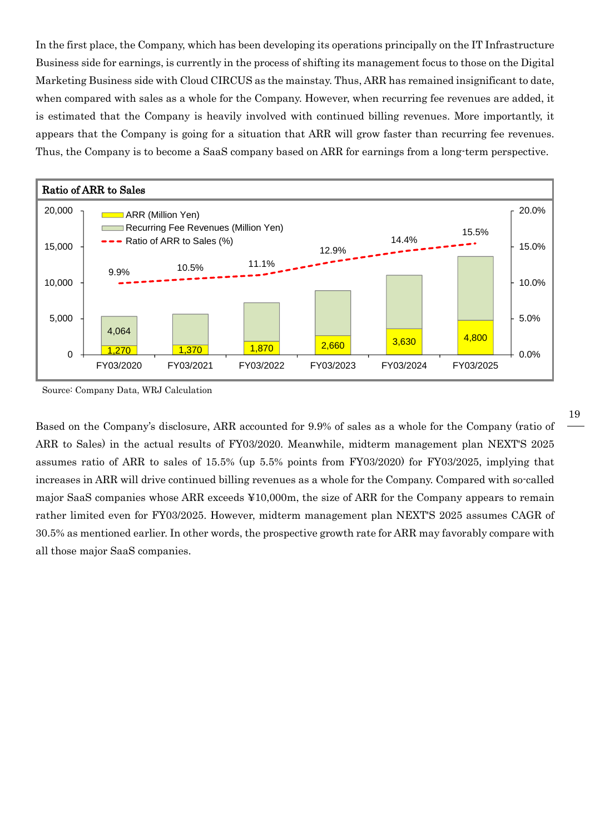In the first place, the Company, which has been developing its operations principally on the IT Infrastructure Business side for earnings, is currently in the process of shifting its management focus to those on the Digital Marketing Business side with Cloud CIRCUS as the mainstay. Thus, ARR has remained insignificant to date, when compared with sales as a whole for the Company. However, when recurring fee revenues are added, it is estimated that the Company is heavily involved with continued billing revenues. More importantly, it appears that the Company is going for a situation that ARR will grow faster than recurring fee revenues. Thus, the Company is to become a SaaS company based on ARR for earnings from a long-term perspective.



Source: Company Data, WRJ Calculation

Based on the Company's disclosure, ARR accounted for 9.9% of sales as a whole for the Company (ratio of ARR to Sales) in the actual results of FY03/2020. Meanwhile, midterm management plan NEXT'S 2025 assumes ratio of ARR to sales of 15.5% (up 5.5% points from FY03/2020) for FY03/2025, implying that increases in ARR will drive continued billing revenues as a whole for the Company. Compared with so-called major SaaS companies whose ARR exceeds ¥10,000m, the size of ARR for the Company appears to remain rather limited even for FY03/2025. However, midterm management plan NEXT'S 2025 assumes CAGR of 30.5% as mentioned earlier. In other words, the prospective growth rate for ARR may favorably compare with all those major SaaS companies.

19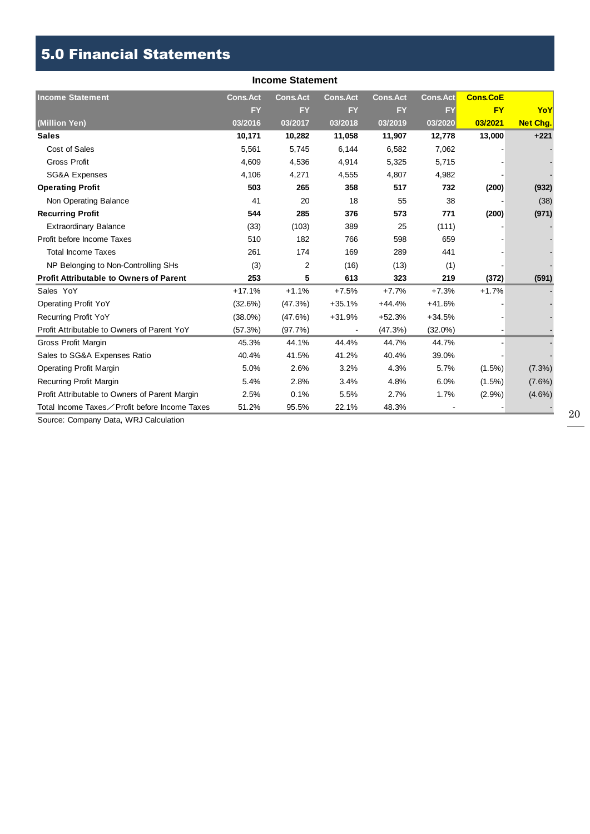## 5.0 Financial Statements

| <b>Income Statement</b>                        |                 |                 |                 |                 |                 |                 |                 |  |  |  |  |
|------------------------------------------------|-----------------|-----------------|-----------------|-----------------|-----------------|-----------------|-----------------|--|--|--|--|
| <b>Income Statement</b>                        | <b>Cons.Act</b> | <b>Cons.Act</b> | <b>Cons.Act</b> | <b>Cons.Act</b> | <b>Cons.Act</b> | <b>Cons.CoE</b> |                 |  |  |  |  |
|                                                | <b>FY</b>       | <b>FY</b>       | <b>FY</b>       | <b>FY</b>       | <b>FY</b>       | <b>FY</b>       | YoY             |  |  |  |  |
| (Million Yen)                                  | 03/2016         | 03/2017         | 03/2018         | 03/2019         | 03/2020         | 03/2021         | <b>Net Chg.</b> |  |  |  |  |
| <b>Sales</b>                                   | 10,171          | 10,282          | 11,058          | 11,907          | 12,778          | 13,000          | $+221$          |  |  |  |  |
| Cost of Sales                                  | 5,561           | 5,745           | 6,144           | 6,582           | 7,062           |                 |                 |  |  |  |  |
| <b>Gross Profit</b>                            | 4,609           | 4,536           | 4,914           | 5,325           | 5,715           |                 |                 |  |  |  |  |
| <b>SG&amp;A Expenses</b>                       | 4,106           | 4,271           | 4,555           | 4,807           | 4,982           |                 |                 |  |  |  |  |
| <b>Operating Profit</b>                        | 503             | 265             | 358             | 517             | 732             | (200)           | (932)           |  |  |  |  |
| Non Operating Balance                          | 41              | 20              | 18              | 55              | 38              |                 | (38)            |  |  |  |  |
| <b>Recurring Profit</b>                        | 544             | 285             | 376             | 573             | 771             | (200)           | (971)           |  |  |  |  |
| <b>Extraordinary Balance</b>                   | (33)            | (103)           | 389             | 25              | (111)           |                 |                 |  |  |  |  |
| Profit before Income Taxes                     | 510             | 182             | 766             | 598             | 659             |                 |                 |  |  |  |  |
| <b>Total Income Taxes</b>                      | 261             | 174             | 169             | 289             | 441             |                 |                 |  |  |  |  |
| NP Belonging to Non-Controlling SHs            | (3)             | 2               | (16)            | (13)            | (1)             |                 |                 |  |  |  |  |
| <b>Profit Attributable to Owners of Parent</b> | 253             | 5               | 613             | 323             | 219             | (372)           | (591)           |  |  |  |  |
| Sales YoY                                      | $+17.1%$        | $+1.1%$         | $+7.5%$         | $+7.7%$         | $+7.3%$         | $+1.7%$         |                 |  |  |  |  |
| Operating Profit YoY                           | (32.6%)         | (47.3%)         | $+35.1%$        | $+44.4%$        | $+41.6%$        |                 |                 |  |  |  |  |
| <b>Recurring Profit YoY</b>                    | $(38.0\%)$      | (47.6%)         | $+31.9%$        | $+52.3%$        | $+34.5%$        |                 |                 |  |  |  |  |
| Profit Attributable to Owners of Parent YoY    | (57.3%)         | (97.7%)         |                 | (47.3%)         | $(32.0\%)$      |                 |                 |  |  |  |  |
| Gross Profit Margin                            | 45.3%           | 44.1%           | 44.4%           | 44.7%           | 44.7%           |                 |                 |  |  |  |  |
| Sales to SG&A Expenses Ratio                   | 40.4%           | 41.5%           | 41.2%           | 40.4%           | 39.0%           |                 |                 |  |  |  |  |
| <b>Operating Profit Margin</b>                 | 5.0%            | 2.6%            | 3.2%            | 4.3%            | 5.7%            | $(1.5\%)$       | (7.3%)          |  |  |  |  |
| <b>Recurring Profit Margin</b>                 | 5.4%            | 2.8%            | 3.4%            | 4.8%            | 6.0%            | $(1.5\%)$       | $(7.6\%)$       |  |  |  |  |
| Profit Attributable to Owners of Parent Margin | 2.5%            | 0.1%            | 5.5%            | 2.7%            | 1.7%            | $(2.9\%)$       | $(4.6\%)$       |  |  |  |  |
| Total Income Taxes∕Profit before Income Taxes  | 51.2%           | 95.5%           | 22.1%           | 48.3%           |                 |                 |                 |  |  |  |  |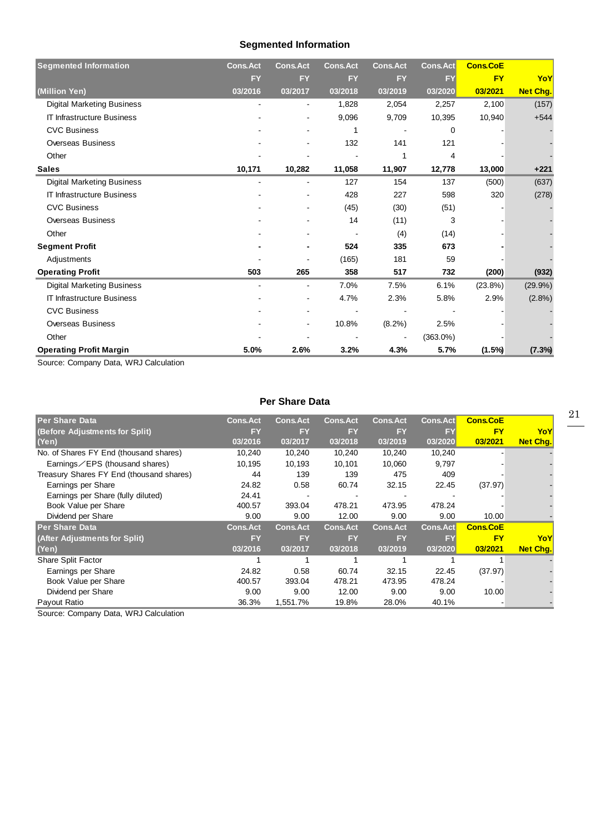## **Segmented Information**

| <b>Segmented Information</b>      | <b>Cons.Act</b> | <b>Cons.Act</b> | <b>Cons.Act</b> | <b>Cons.Act</b> | <b>Cons.Act</b> | <b>Cons.CoE</b> |                 |
|-----------------------------------|-----------------|-----------------|-----------------|-----------------|-----------------|-----------------|-----------------|
|                                   | <b>FY</b>       | <b>FY</b>       | <b>FY</b>       | <b>FY</b>       | <b>FY</b>       | <b>FY</b>       | YoY             |
| (Million Yen)                     | 03/2016         | 03/2017         | 03/2018         | 03/2019         | 03/2020         | 03/2021         | <b>Net Chg.</b> |
| <b>Digital Marketing Business</b> |                 |                 | 1,828           | 2,054           | 2,257           | 2,100           | (157)           |
| <b>IT Infrastructure Business</b> |                 | $\blacksquare$  | 9,096           | 9,709           | 10,395          | 10,940          | $+544$          |
| <b>CVC Business</b>               |                 |                 |                 |                 | 0               |                 |                 |
| <b>Overseas Business</b>          |                 |                 | 132             | 141             | 121             |                 |                 |
| Other                             |                 |                 |                 |                 | 4               |                 |                 |
| <b>Sales</b>                      | 10,171          | 10,282          | 11,058          | 11,907          | 12,778          | 13,000          | $+221$          |
| <b>Digital Marketing Business</b> |                 |                 | 127             | 154             | 137             | (500)           | (637)           |
| <b>IT Infrastructure Business</b> |                 |                 | 428             | 227             | 598             | 320             | (278)           |
| <b>CVC Business</b>               |                 |                 | (45)            | (30)            | (51)            |                 |                 |
| Overseas Business                 |                 |                 | 14              | (11)            | 3               |                 |                 |
| Other                             |                 |                 |                 | (4)             | (14)            |                 |                 |
| <b>Segment Profit</b>             |                 |                 | 524             | 335             | 673             |                 |                 |
| Adjustments                       |                 |                 | (165)           | 181             | 59              |                 |                 |
| <b>Operating Profit</b>           | 503             | 265             | 358             | 517             | 732             | (200)           | (932)           |
| <b>Digital Marketing Business</b> |                 | $\blacksquare$  | 7.0%            | 7.5%            | 6.1%            | $(23.8\%)$      | $(29.9\%)$      |
| <b>IT Infrastructure Business</b> |                 |                 | 4.7%            | 2.3%            | 5.8%            | 2.9%            | $(2.8\%)$       |
| <b>CVC Business</b>               |                 |                 |                 |                 |                 |                 |                 |
| <b>Overseas Business</b>          |                 |                 | 10.8%           | $(8.2\%)$       | 2.5%            |                 |                 |
| Other                             |                 |                 |                 |                 | $(363.0\%)$     |                 |                 |
| <b>Operating Profit Margin</b>    | 5.0%            | 2.6%            | 3.2%            | 4.3%            | 5.7%            | (1.5%)          | (7.3%)          |

Source: Company Data, WRJ Calculation

#### **Per Share Data**

| <b>Per Share Data</b>                    | <b>Cons.Act</b> | <b>Cons.Act</b> | <b>Cons.Act</b> | <b>Cons.Act</b> | <b>Cons.Act</b> | <b>Cons.CoE</b> |                 |
|------------------------------------------|-----------------|-----------------|-----------------|-----------------|-----------------|-----------------|-----------------|
| (Before Adjustments for Split)           | <b>FY</b>       | <b>FY</b>       | <b>FY</b>       | <b>FY</b>       | <b>FY</b>       | <b>FY</b>       | YoY             |
| (Yen)                                    | 03/2016         | 03/2017         | 03/2018         | 03/2019         | 03/2020         | 03/2021         | <b>Net Chg.</b> |
| No. of Shares FY End (thousand shares)   | 10,240          | 10,240          | 10,240          | 10,240          | 10,240          |                 |                 |
| Earnings $\angle$ EPS (thousand shares)  | 10,195          | 10,193          | 10,101          | 10,060          | 9,797           |                 |                 |
| Treasury Shares FY End (thousand shares) | 44              | 139             | 139             | 475             | 409             |                 |                 |
| Earnings per Share                       | 24.82           | 0.58            | 60.74           | 32.15           | 22.45           | (37.97)         |                 |
| Earnings per Share (fully diluted)       | 24.41           |                 |                 |                 |                 |                 |                 |
| Book Value per Share                     | 400.57          | 393.04          | 478.21          | 473.95          | 478.24          |                 |                 |
| Dividend per Share                       | 9.00            | 9.00            | 12.00           | 9.00            | 9.00            | 10.00           |                 |
| <b>Per Share Data</b>                    | <b>Cons.Act</b> | <b>Cons.Act</b> | <b>Cons.Act</b> | <b>Cons.Act</b> | <b>Cons.Act</b> | <b>Cons.CoE</b> |                 |
| (After Adjustments for Split)            | <b>FY</b>       | <b>FY</b>       | <b>FY</b>       | <b>FY</b>       | <b>FY</b>       | <b>FY</b>       | YoY             |
| (Yen)                                    | 03/2016         | 03/2017         | 03/2018         | 03/2019         | 03/2020         | 03/2021         | <b>Net Chg.</b> |
| Share Split Factor                       |                 |                 |                 |                 |                 |                 |                 |
| Earnings per Share                       | 24.82           | 0.58            | 60.74           | 32.15           | 22.45           | (37.97)         |                 |
| Book Value per Share                     | 400.57          | 393.04          | 478.21          | 473.95          | 478.24          |                 |                 |
| Dividend per Share                       | 9.00            | 9.00            | 12.00           | 9.00            | 9.00            | 10.00           |                 |
| Payout Ratio                             | 36.3%           | 1,551.7%        | 19.8%           | 28.0%           | 40.1%           |                 |                 |

Source: Company Data, WRJ Calculation

21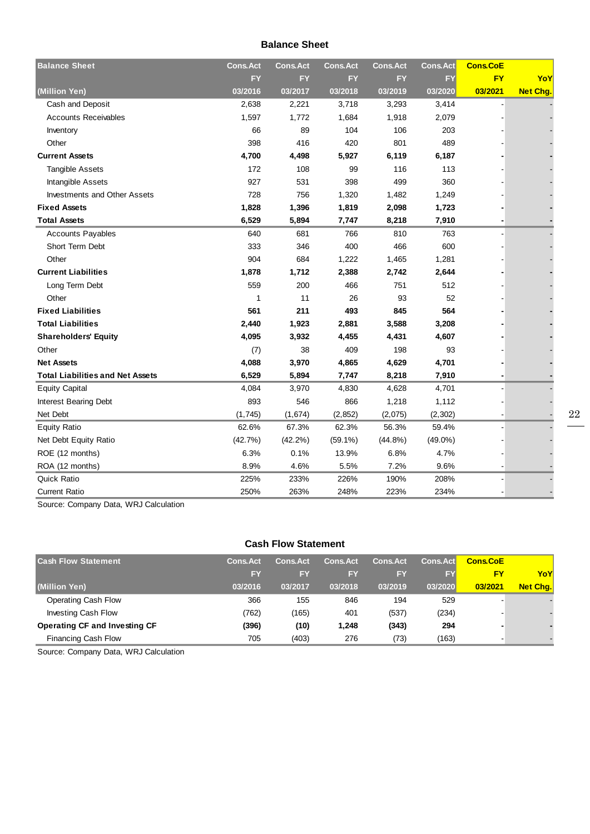#### **Balance Sheet**

| <b>Balance Sheet</b>                    | <b>Cons.Act</b> | <b>Cons.Act</b> | <b>Cons.Act</b> | <b>Cons.Act</b> | <b>Cons.Act</b> | <b>Cons.CoE</b> |                 |
|-----------------------------------------|-----------------|-----------------|-----------------|-----------------|-----------------|-----------------|-----------------|
|                                         | <b>FY</b>       | <b>FY</b>       | <b>FY</b>       | <b>FY</b>       | <b>FY</b>       | <b>FY</b>       | YoY             |
| (Million Yen)                           | 03/2016         | 03/2017         | 03/2018         | 03/2019         | 03/2020         | 03/2021         | <b>Net Chg.</b> |
| Cash and Deposit                        | 2,638           | 2,221           | 3,718           | 3,293           | 3,414           |                 |                 |
| <b>Accounts Receivables</b>             | 1,597           | 1,772           | 1,684           | 1,918           | 2,079           |                 |                 |
| Inventory                               | 66              | 89              | 104             | 106             | 203             |                 |                 |
| Other                                   | 398             | 416             | 420             | 801             | 489             |                 |                 |
| <b>Current Assets</b>                   | 4,700           | 4,498           | 5,927           | 6,119           | 6,187           |                 |                 |
| <b>Tangible Assets</b>                  | 172             | 108             | 99              | 116             | 113             |                 |                 |
| Intangible Assets                       | 927             | 531             | 398             | 499             | 360             |                 |                 |
| <b>Investments and Other Assets</b>     | 728             | 756             | 1,320           | 1,482           | 1,249           |                 |                 |
| <b>Fixed Assets</b>                     | 1,828           | 1,396           | 1,819           | 2,098           | 1,723           |                 |                 |
| <b>Total Assets</b>                     | 6,529           | 5,894           | 7,747           | 8,218           | 7,910           |                 |                 |
| <b>Accounts Payables</b>                | 640             | 681             | 766             | 810             | 763             |                 |                 |
| Short Term Debt                         | 333             | 346             | 400             | 466             | 600             |                 |                 |
| Other                                   | 904             | 684             | 1,222           | 1,465           | 1,281           |                 |                 |
| <b>Current Liabilities</b>              | 1,878           | 1,712           | 2,388           | 2,742           | 2,644           |                 |                 |
| Long Term Debt                          | 559             | 200             | 466             | 751             | 512             |                 |                 |
| Other                                   | $\mathbf{1}$    | 11              | 26              | 93              | 52              |                 |                 |
| <b>Fixed Liabilities</b>                | 561             | 211             | 493             | 845             | 564             |                 |                 |
| <b>Total Liabilities</b>                | 2,440           | 1,923           | 2,881           | 3,588           | 3,208           |                 |                 |
| <b>Shareholders' Equity</b>             | 4,095           | 3,932           | 4,455           | 4,431           | 4,607           |                 |                 |
| Other                                   | (7)             | 38              | 409             | 198             | 93              |                 |                 |
| <b>Net Assets</b>                       | 4,088           | 3,970           | 4,865           | 4,629           | 4,701           |                 |                 |
| <b>Total Liabilities and Net Assets</b> | 6,529           | 5,894           | 7,747           | 8,218           | 7,910           |                 |                 |
| <b>Equity Capital</b>                   | 4,084           | 3,970           | 4,830           | 4,628           | 4,701           |                 |                 |
| Interest Bearing Debt                   | 893             | 546             | 866             | 1,218           | 1,112           |                 |                 |
| Net Debt                                | (1, 745)        | (1,674)         | (2, 852)        | (2,075)         | (2, 302)        |                 |                 |
| <b>Equity Ratio</b>                     | 62.6%           | 67.3%           | 62.3%           | 56.3%           | 59.4%           |                 |                 |
| Net Debt Equity Ratio                   | (42.7%)         | $(42.2\%)$      | $(59.1\%)$      | $(44.8\%)$      | $(49.0\%)$      |                 |                 |
| ROE (12 months)                         | 6.3%            | 0.1%            | 13.9%           | 6.8%            | 4.7%            |                 |                 |
| ROA (12 months)                         | 8.9%            | 4.6%            | 5.5%            | 7.2%            | 9.6%            |                 |                 |
| Quick Ratio                             | 225%            | 233%            | 226%            | 190%            | 208%            |                 |                 |
| <b>Current Ratio</b>                    | 250%            | 263%            | 248%            | 223%            | 234%            |                 |                 |

Source: Company Data, WRJ Calculation

#### **Cash Flow Statement**

| <b>Cash Flow Statement</b>           | <b>Cons.Act</b> | <b>Cons.Act</b> | <b>Cons.Act</b> | <b>Cons.Act</b> | <b>Cons.Act</b> | <b>Cons.CoE</b> |          |
|--------------------------------------|-----------------|-----------------|-----------------|-----------------|-----------------|-----------------|----------|
|                                      | <b>FY</b>       | FY              | <b>FY</b>       | <b>FY</b>       | <b>FY</b>       | FY              | YoY      |
| (Million Yen)                        | 03/2016         | 03/2017         | 03/2018         | 03/2019         | 03/2020         | 03/2021         | Net Chq. |
| Operating Cash Flow                  | 366             | 155             | 846             | 194             | 529             |                 |          |
| Investing Cash Flow                  | (762)           | (165)           | 401             | (537)           | (234)           |                 |          |
| <b>Operating CF and Investing CF</b> | (396)           | (10)            | 1,248           | (343)           | 294             |                 |          |
| <b>Financing Cash Flow</b>           | 705             | (403)           | 276             | (73)            | (163)           |                 |          |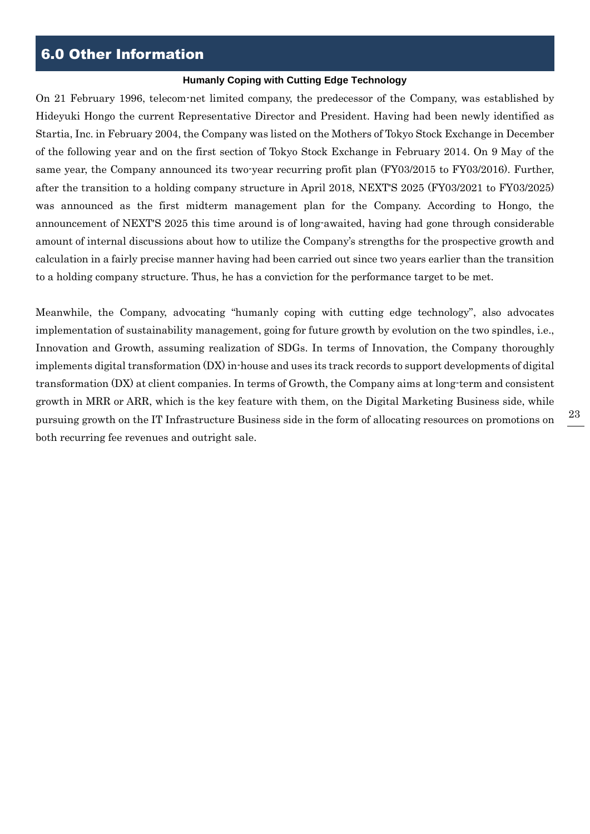## 6.0 Other Information

#### **Humanly Coping with Cutting Edge Technology**

On 21 February 1996, telecom-net limited company, the predecessor of the Company, was established by Hideyuki Hongo the current Representative Director and President. Having had been newly identified as Startia, Inc. in February 2004, the Company was listed on the Mothers of Tokyo Stock Exchange in December of the following year and on the first section of Tokyo Stock Exchange in February 2014. On 9 May of the same year, the Company announced its two-year recurring profit plan (FY03/2015 to FY03/2016). Further, after the transition to a holding company structure in April 2018, NEXT'S 2025 (FY03/2021 to FY03/2025) was announced as the first midterm management plan for the Company. According to Hongo, the announcement of NEXT'S 2025 this time around is of long-awaited, having had gone through considerable amount of internal discussions about how to utilize the Company's strengths for the prospective growth and calculation in a fairly precise manner having had been carried out since two years earlier than the transition to a holding company structure. Thus, he has a conviction for the performance target to be met.

Meanwhile, the Company, advocating "humanly coping with cutting edge technology", also advocates implementation of sustainability management, going for future growth by evolution on the two spindles, i.e., Innovation and Growth, assuming realization of SDGs. In terms of Innovation, the Company thoroughly implements digital transformation (DX) in-house and uses its track records to support developments of digital transformation (DX) at client companies. In terms of Growth, the Company aims at long-term and consistent growth in MRR or ARR, which is the key feature with them, on the Digital Marketing Business side, while pursuing growth on the IT Infrastructure Business side in the form of allocating resources on promotions on both recurring fee revenues and outright sale.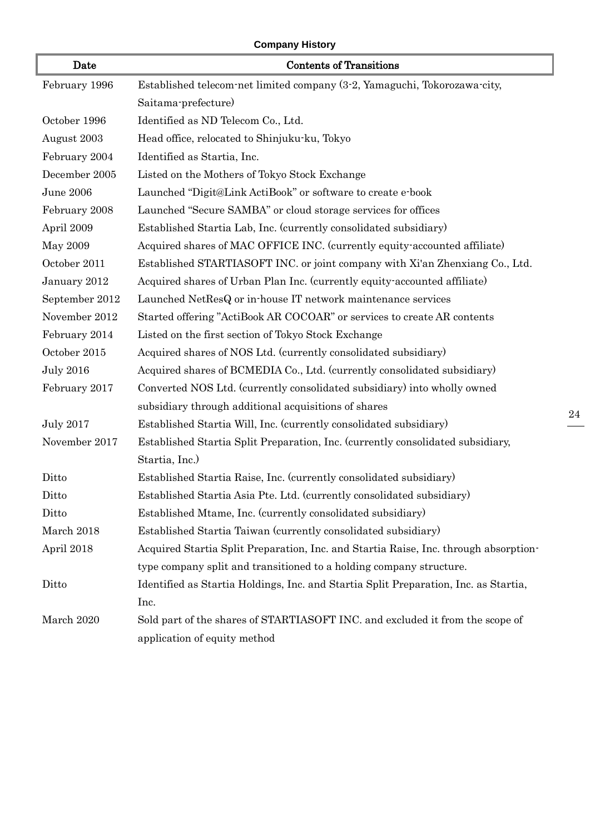#### **Company History**

| Date             | <b>Contents of Transitions</b>                                                       |
|------------------|--------------------------------------------------------------------------------------|
| February 1996    | Established telecom-net limited company (3-2, Yamaguchi, Tokorozawa-city,            |
|                  | Saitama-prefecture)                                                                  |
| October 1996     | Identified as ND Telecom Co., Ltd.                                                   |
| August 2003      | Head office, relocated to Shinjuku-ku, Tokyo                                         |
| February 2004    | Identified as Startia, Inc.                                                          |
| December 2005    | Listed on the Mothers of Tokyo Stock Exchange                                        |
| June 2006        | Launched "Digit@Link ActiBook" or software to create e-book                          |
| February 2008    | Launched "Secure SAMBA" or cloud storage services for offices                        |
| April 2009       | Established Startia Lab, Inc. (currently consolidated subsidiary)                    |
| May 2009         | Acquired shares of MAC OFFICE INC. (currently equity-accounted affiliate)            |
| October 2011     | Established STARTIASOFT INC. or joint company with Xi'an Zhenxiang Co., Ltd.         |
| January 2012     | Acquired shares of Urban Plan Inc. (currently equity accounted affiliate)            |
| September 2012   | Launched NetResQ or in-house IT network maintenance services                         |
| November 2012    | Started offering "ActiBook AR COCOAR" or services to create AR contents              |
| February 2014    | Listed on the first section of Tokyo Stock Exchange                                  |
| October 2015     | Acquired shares of NOS Ltd. (currently consolidated subsidiary)                      |
| <b>July 2016</b> | Acquired shares of BCMEDIA Co., Ltd. (currently consolidated subsidiary)             |
| February 2017    | Converted NOS Ltd. (currently consolidated subsidiary) into wholly owned             |
|                  | subsidiary through additional acquisitions of shares                                 |
| <b>July 2017</b> | Established Startia Will, Inc. (currently consolidated subsidiary)                   |
| November 2017    | Established Startia Split Preparation, Inc. (currently consolidated subsidiary,      |
|                  | Startia, Inc.)                                                                       |
| Ditto            | Established Startia Raise, Inc. (currently consolidated subsidiary)                  |
| Ditto            | Established Startia Asia Pte. Ltd. (currently consolidated subsidiary)               |
| Ditto            | Established Mtame, Inc. (currently consolidated subsidiary)                          |
| March 2018       | Established Startia Taiwan (currently consolidated subsidiary)                       |
| April 2018       | Acquired Startia Split Preparation, Inc. and Startia Raise, Inc. through absorption- |
|                  | type company split and transitioned to a holding company structure.                  |
| Ditto            | Identified as Startia Holdings, Inc. and Startia Split Preparation, Inc. as Startia, |
|                  | Inc.                                                                                 |
| March 2020       | Sold part of the shares of STARTIASOFT INC. and excluded it from the scope of        |
|                  | application of equity method                                                         |